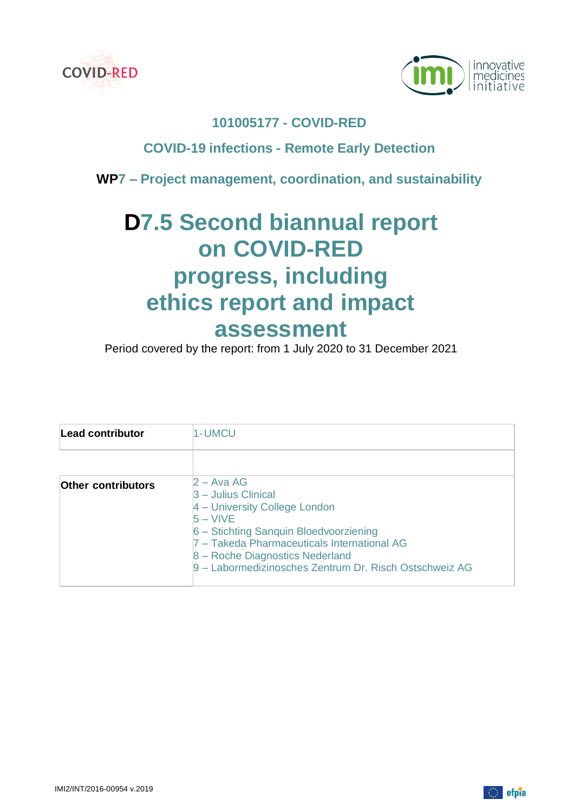



# **101005177 - COVID-RED**

# **COVID-19 infections - Remote Early Detection**

**WP7 – Project management, coordination, and sustainability**

# **D7.5 Second biannual report on COVID-RED progress, including ethics report and impact assessment**

Period covered by the report: from 1 July 2020 to 31 December 2021

| Lead contributor          | 1-UMCU                                                                                                                                                                                                                                                                      |  |
|---------------------------|-----------------------------------------------------------------------------------------------------------------------------------------------------------------------------------------------------------------------------------------------------------------------------|--|
|                           |                                                                                                                                                                                                                                                                             |  |
| <b>Other contributors</b> | $2 - A$ va AG<br>$3$ – Julius Clinical<br>4 – University College London<br>$5 - VIVE$<br>6 - Stichting Sanquin Bloedvoorziening<br>7 - Takeda Pharmaceuticals International AG<br>8 - Roche Diagnostics Nederland<br>9 – Labormedizinosches Zentrum Dr. Risch Ostschweiz AG |  |

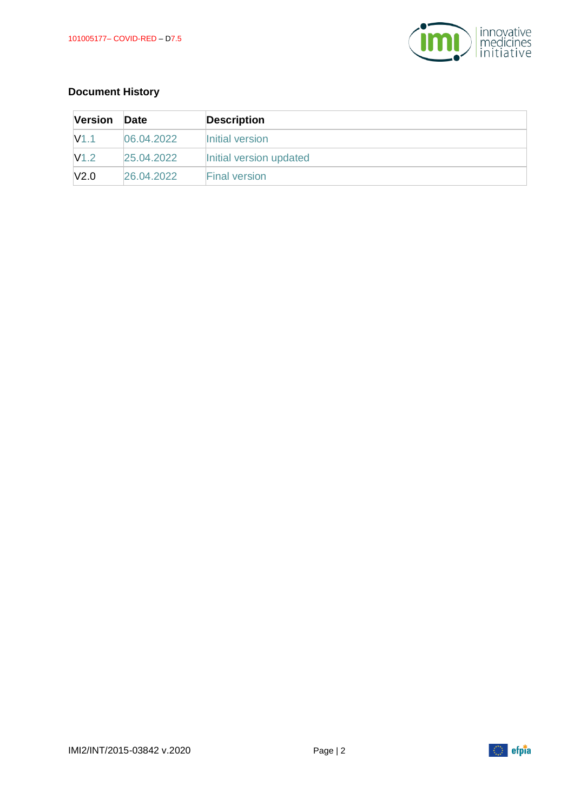

# **Document History**

| <b>Version</b> | Date       | <b>Description</b>      |
|----------------|------------|-------------------------|
| V1.1           | 06.04.2022 | Initial version         |
| V1.2           | 25.04.2022 | Initial version updated |
| V2.0           | 26.04.2022 | <b>Final version</b>    |

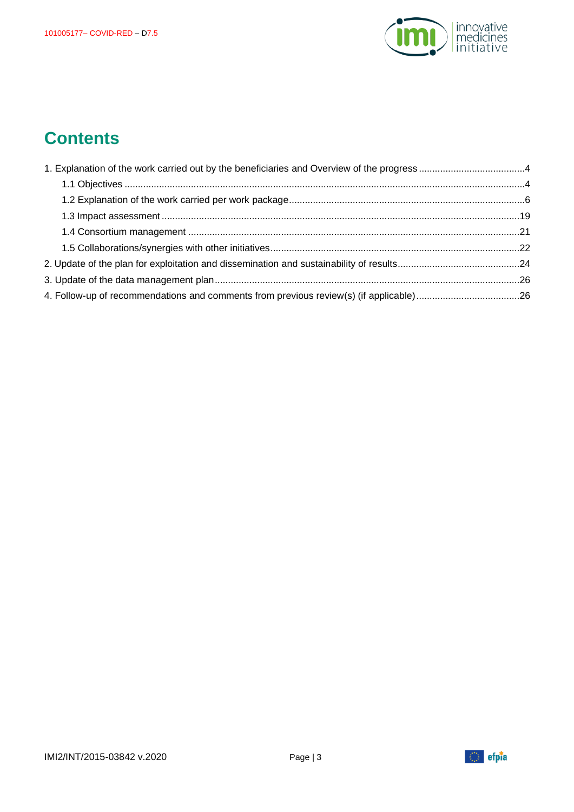

# **Contents**



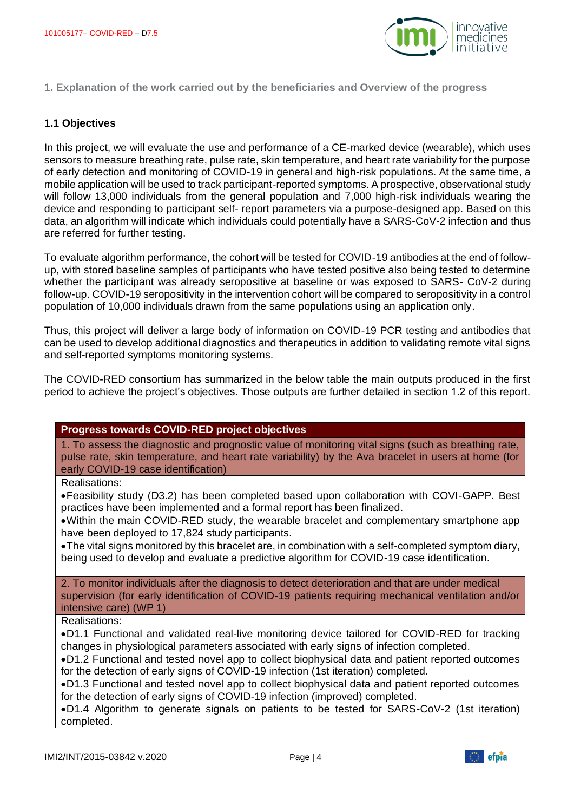

<span id="page-3-0"></span>**1. Explanation of the work carried out by the beneficiaries and Overview of the progress**

#### <span id="page-3-1"></span>**1.1 Objectives**

In this project, we will evaluate the use and performance of a CE-marked device (wearable), which uses sensors to measure breathing rate, pulse rate, skin temperature, and heart rate variability for the purpose of early detection and monitoring of COVID-19 in general and high-risk populations. At the same time, a mobile application will be used to track participant-reported symptoms. A prospective, observational study will follow 13,000 individuals from the general population and 7,000 high-risk individuals wearing the device and responding to participant self- report parameters via a purpose-designed app. Based on this data, an algorithm will indicate which individuals could potentially have a SARS-CoV-2 infection and thus are referred for further testing.

To evaluate algorithm performance, the cohort will be tested for COVID-19 antibodies at the end of followup, with stored baseline samples of participants who have tested positive also being tested to determine whether the participant was already seropositive at baseline or was exposed to SARS- CoV-2 during follow-up. COVID-19 seropositivity in the intervention cohort will be compared to seropositivity in a control population of 10,000 individuals drawn from the same populations using an application only.

Thus, this project will deliver a large body of information on COVID-19 PCR testing and antibodies that can be used to develop additional diagnostics and therapeutics in addition to validating remote vital signs and self-reported symptoms monitoring systems.

The COVID-RED consortium has summarized in the below table the main outputs produced in the first period to achieve the project's objectives. Those outputs are further detailed in section 1.2 of this report.

#### **Progress towards COVID-RED project objectives**

1. To assess the diagnostic and prognostic value of monitoring vital signs (such as breathing rate, pulse rate, skin temperature, and heart rate variability) by the Ava bracelet in users at home (for early COVID-19 case identification)

Realisations:

•Feasibility study (D3.2) has been completed based upon collaboration with COVI-GAPP. Best practices have been implemented and a formal report has been finalized.

•Within the main COVID-RED study, the wearable bracelet and complementary smartphone app have been deployed to 17,824 study participants.

•The vital signs monitored by this bracelet are, in combination with a self-completed symptom diary, being used to develop and evaluate a predictive algorithm for COVID-19 case identification.

2. To monitor individuals after the diagnosis to detect deterioration and that are under medical supervision (for early identification of COVID-19 patients requiring mechanical ventilation and/or intensive care) (WP 1)

Realisations:

•D1.1 Functional and validated real-live monitoring device tailored for COVID-RED for tracking changes in physiological parameters associated with early signs of infection completed.

•D1.2 Functional and tested novel app to collect biophysical data and patient reported outcomes for the detection of early signs of COVID-19 infection (1st iteration) completed.

•D1.3 Functional and tested novel app to collect biophysical data and patient reported outcomes for the detection of early signs of COVID-19 infection (improved) completed.

•D1.4 Algorithm to generate signals on patients to be tested for SARS-CoV-2 (1st iteration) completed.

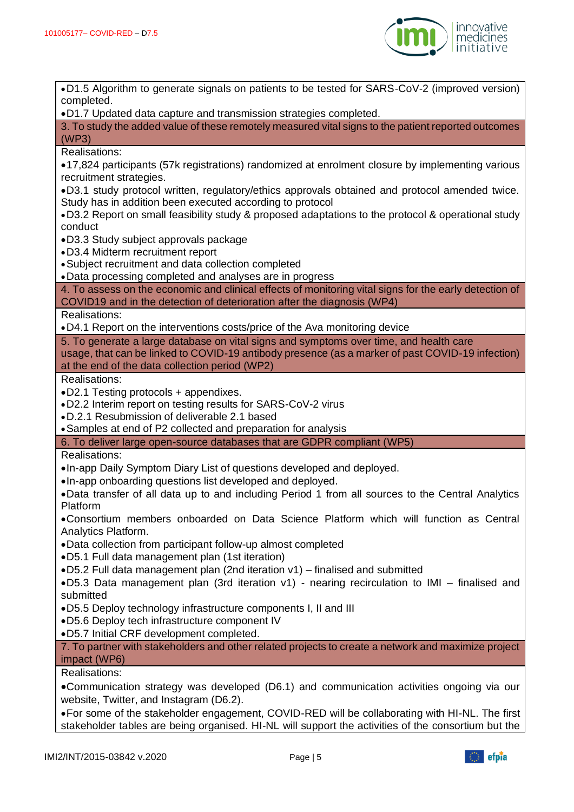

•D1.5 Algorithm to generate signals on patients to be tested for SARS-CoV-2 (improved version) completed. •D1.7 Updated data capture and transmission strategies completed. 3. To study the added value of these remotely measured vital signs to the patient reported outcomes (WP3) Realisations: •17,824 participants (57k registrations) randomized at enrolment closure by implementing various recruitment strategies. •D3.1 study protocol written, regulatory/ethics approvals obtained and protocol amended twice. Study has in addition been executed according to protocol •D3.2 Report on small feasibility study & proposed adaptations to the protocol & operational study conduct •D3.3 Study subject approvals package •D3.4 Midterm recruitment report •Subject recruitment and data collection completed •Data processing completed and analyses are in progress 4. To assess on the economic and clinical effects of monitoring vital signs for the early detection of COVID19 and in the detection of deterioration after the diagnosis (WP4) Realisations: •D4.1 Report on the interventions costs/price of the Ava monitoring device 5. To generate a large database on vital signs and symptoms over time, and health care usage, that can be linked to COVID-19 antibody presence (as a marker of past COVID-19 infection) at the end of the data collection period (WP2) Realisations: •D2.1 Testing protocols + appendixes. •D2.2 Interim report on testing results for SARS-CoV-2 virus •D.2.1 Resubmission of deliverable 2.1 based •Samples at end of P2 collected and preparation for analysis 6. To deliver large open-source databases that are GDPR compliant (WP5) Realisations: •In-app Daily Symptom Diary List of questions developed and deployed. •In-app onboarding questions list developed and deployed. •Data transfer of all data up to and including Period 1 from all sources to the Central Analytics Platform •Consortium members onboarded on Data Science Platform which will function as Central Analytics Platform. •Data collection from participant follow-up almost completed •D5.1 Full data management plan (1st iteration) •D5.2 Full data management plan (2nd iteration v1) – finalised and submitted •D5.3 Data management plan (3rd iteration v1) - nearing recirculation to IMI – finalised and submitted •D5.5 Deploy technology infrastructure components I, II and III •D5.6 Deploy tech infrastructure component IV •D5.7 Initial CRF development completed. 7. To partner with stakeholders and other related projects to create a network and maximize project impact (WP6) Realisations: •Communication strategy was developed (D6.1) and communication activities ongoing via our website, Twitter, and Instagram (D6.2). •For some of the stakeholder engagement, COVID-RED will be collaborating with HI-NL. The first stakeholder tables are being organised. HI-NL will support the activities of the consortium but the

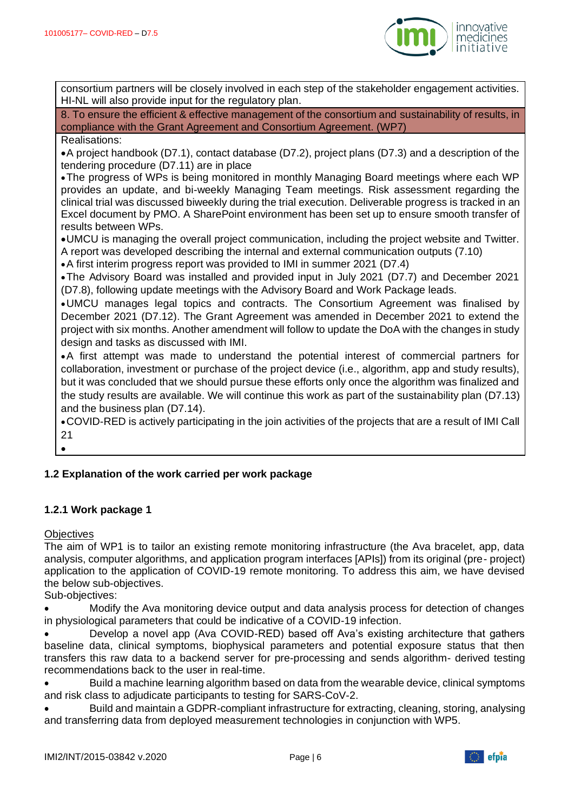

consortium partners will be closely involved in each step of the stakeholder engagement activities. HI-NL will also provide input for the regulatory plan.

8. To ensure the efficient & effective management of the consortium and sustainability of results, in compliance with the Grant Agreement and Consortium Agreement. (WP7)

#### Realisations:

•A project handbook (D7.1), contact database (D7.2), project plans (D7.3) and a description of the tendering procedure (D7.11) are in place

•The progress of WPs is being monitored in monthly Managing Board meetings where each WP provides an update, and bi-weekly Managing Team meetings. Risk assessment regarding the clinical trial was discussed biweekly during the trial execution. Deliverable progress is tracked in an Excel document by PMO. A SharePoint environment has been set up to ensure smooth transfer of results between WPs.

•UMCU is managing the overall project communication, including the project website and Twitter. A report was developed describing the internal and external communication outputs (7.10)

•A first interim progress report was provided to IMI in summer 2021 (D7.4)

•The Advisory Board was installed and provided input in July 2021 (D7.7) and December 2021 (D7.8), following update meetings with the Advisory Board and Work Package leads.

•UMCU manages legal topics and contracts. The Consortium Agreement was finalised by December 2021 (D7.12). The Grant Agreement was amended in December 2021 to extend the project with six months. Another amendment will follow to update the DoA with the changes in study design and tasks as discussed with IMI.

•A first attempt was made to understand the potential interest of commercial partners for collaboration, investment or purchase of the project device (i.e., algorithm, app and study results), but it was concluded that we should pursue these efforts only once the algorithm was finalized and the study results are available. We will continue this work as part of the sustainability plan (D7.13) and the business plan (D7.14).

•COVID-RED is actively participating in the join activities of the projects that are a result of IMI Call 21

•

# <span id="page-5-0"></span>**1.2 Explanation of the work carried per work package**

#### **1.2.1 Work package 1**

#### **Objectives**

The aim of WP1 is to tailor an existing remote monitoring infrastructure (the Ava bracelet, app, data analysis, computer algorithms, and application program interfaces [APIs]) from its original (pre- project) application to the application of COVID-19 remote monitoring. To address this aim, we have devised the below sub-objectives.

Sub-objectives:

• Modify the Ava monitoring device output and data analysis process for detection of changes in physiological parameters that could be indicative of a COVID-19 infection.

• Develop a novel app (Ava COVID-RED) based off Ava's existing architecture that gathers baseline data, clinical symptoms, biophysical parameters and potential exposure status that then transfers this raw data to a backend server for pre-processing and sends algorithm- derived testing recommendations back to the user in real-time.

• Build a machine learning algorithm based on data from the wearable device, clinical symptoms and risk class to adjudicate participants to testing for SARS-CoV-2.

• Build and maintain a GDPR-compliant infrastructure for extracting, cleaning, storing, analysing and transferring data from deployed measurement technologies in conjunction with WP5.

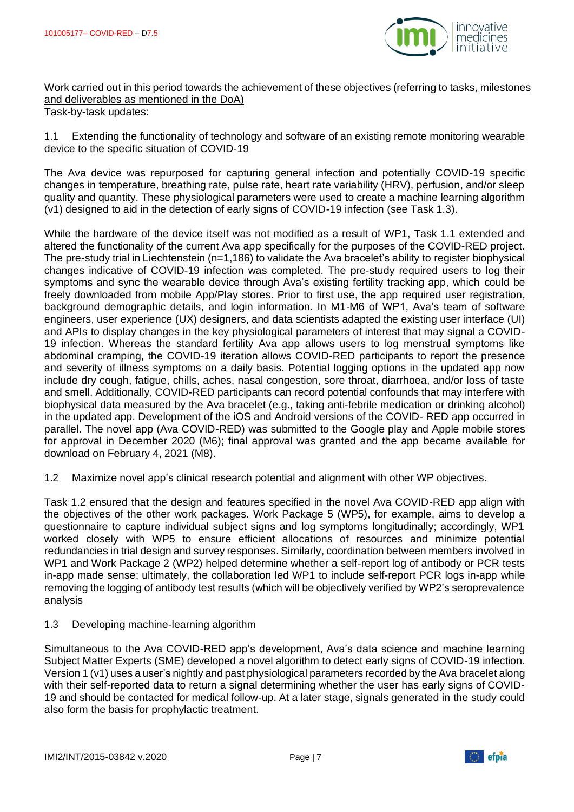

Work carried out in this period towards the achievement of these objectives (referring to tasks, milestones and deliverables as mentioned in the DoA) Task-by-task updates:

1.1 Extending the functionality of technology and software of an existing remote monitoring wearable device to the specific situation of COVID-19

The Ava device was repurposed for capturing general infection and potentially COVID-19 specific changes in temperature, breathing rate, pulse rate, heart rate variability (HRV), perfusion, and/or sleep quality and quantity. These physiological parameters were used to create a machine learning algorithm (v1) designed to aid in the detection of early signs of COVID-19 infection (see Task 1.3).

While the hardware of the device itself was not modified as a result of WP1, Task 1.1 extended and altered the functionality of the current Ava app specifically for the purposes of the COVID-RED project. The pre-study trial in Liechtenstein (n=1,186) to validate the Ava bracelet's ability to register biophysical changes indicative of COVID-19 infection was completed. The pre-study required users to log their symptoms and sync the wearable device through Ava's existing fertility tracking app, which could be freely downloaded from mobile App/Play stores. Prior to first use, the app required user registration, background demographic details, and login information. In M1-M6 of WP1, Ava's team of software engineers, user experience (UX) designers, and data scientists adapted the existing user interface (UI) and APIs to display changes in the key physiological parameters of interest that may signal a COVID-19 infection. Whereas the standard fertility Ava app allows users to log menstrual symptoms like abdominal cramping, the COVID-19 iteration allows COVID-RED participants to report the presence and severity of illness symptoms on a daily basis. Potential logging options in the updated app now include dry cough, fatigue, chills, aches, nasal congestion, sore throat, diarrhoea, and/or loss of taste and smell. Additionally, COVID-RED participants can record potential confounds that may interfere with biophysical data measured by the Ava bracelet (e.g., taking anti-febrile medication or drinking alcohol) in the updated app. Development of the iOS and Android versions of the COVID- RED app occurred in parallel. The novel app (Ava COVID-RED) was submitted to the Google play and Apple mobile stores for approval in December 2020 (M6); final approval was granted and the app became available for download on February 4, 2021 (M8).

1.2 Maximize novel app's clinical research potential and alignment with other WP objectives.

Task 1.2 ensured that the design and features specified in the novel Ava COVID-RED app align with the objectives of the other work packages. Work Package 5 (WP5), for example, aims to develop a questionnaire to capture individual subject signs and log symptoms longitudinally; accordingly, WP1 worked closely with WP5 to ensure efficient allocations of resources and minimize potential redundancies in trial design and survey responses. Similarly, coordination between members involved in WP1 and Work Package 2 (WP2) helped determine whether a self-report log of antibody or PCR tests in-app made sense; ultimately, the collaboration led WP1 to include self-report PCR logs in-app while removing the logging of antibody test results (which will be objectively verified by WP2's seroprevalence analysis

#### 1.3 Developing machine-learning algorithm

Simultaneous to the Ava COVID-RED app's development, Ava's data science and machine learning Subject Matter Experts (SME) developed a novel algorithm to detect early signs of COVID-19 infection. Version 1 (v1) uses a user's nightly and past physiological parameters recorded by the Ava bracelet along with their self-reported data to return a signal determining whether the user has early signs of COVID-19 and should be contacted for medical follow-up. At a later stage, signals generated in the study could also form the basis for prophylactic treatment.

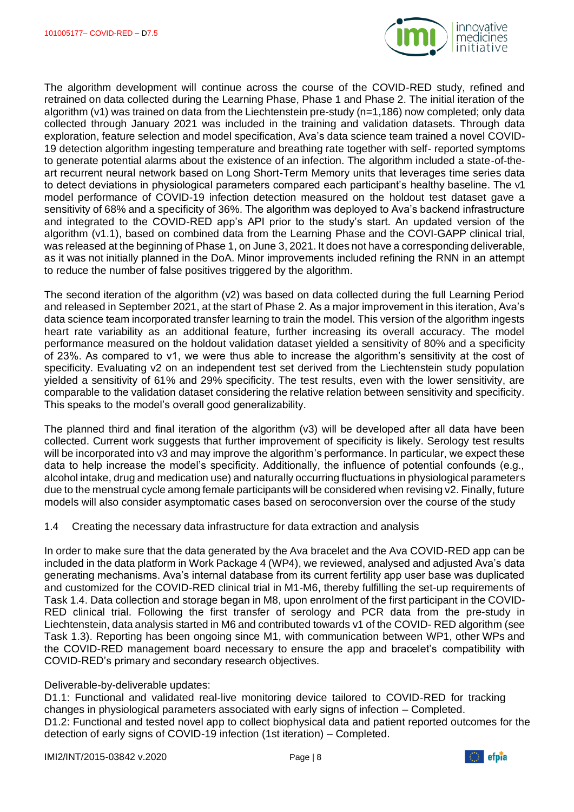

The algorithm development will continue across the course of the COVID-RED study, refined and retrained on data collected during the Learning Phase, Phase 1 and Phase 2. The initial iteration of the algorithm (v1) was trained on data from the Liechtenstein pre-study (n=1,186) now completed; only data collected through January 2021 was included in the training and validation datasets. Through data exploration, feature selection and model specification, Ava's data science team trained a novel COVID-19 detection algorithm ingesting temperature and breathing rate together with self- reported symptoms to generate potential alarms about the existence of an infection. The algorithm included a state-of-theart recurrent neural network based on Long Short-Term Memory units that leverages time series data to detect deviations in physiological parameters compared each participant's healthy baseline. The v1 model performance of COVID-19 infection detection measured on the holdout test dataset gave a sensitivity of 68% and a specificity of 36%. The algorithm was deployed to Ava's backend infrastructure and integrated to the COVID-RED app's API prior to the study's start. An updated version of the algorithm (v1.1), based on combined data from the Learning Phase and the COVI-GAPP clinical trial, was released at the beginning of Phase 1, on June 3, 2021. It does not have a corresponding deliverable, as it was not initially planned in the DoA. Minor improvements included refining the RNN in an attempt to reduce the number of false positives triggered by the algorithm.

The second iteration of the algorithm (v2) was based on data collected during the full Learning Period and released in September 2021, at the start of Phase 2. As a major improvement in this iteration, Ava's data science team incorporated transfer learning to train the model. This version of the algorithm ingests heart rate variability as an additional feature, further increasing its overall accuracy. The model performance measured on the holdout validation dataset yielded a sensitivity of 80% and a specificity of 23%. As compared to v1, we were thus able to increase the algorithm's sensitivity at the cost of specificity. Evaluating v2 on an independent test set derived from the Liechtenstein study population yielded a sensitivity of 61% and 29% specificity. The test results, even with the lower sensitivity, are comparable to the validation dataset considering the relative relation between sensitivity and specificity. This speaks to the model's overall good generalizability.

The planned third and final iteration of the algorithm (v3) will be developed after all data have been collected. Current work suggests that further improvement of specificity is likely. Serology test results will be incorporated into v3 and may improve the algorithm's performance. In particular, we expect these data to help increase the model's specificity. Additionally, the influence of potential confounds (e.g., alcohol intake, drug and medication use) and naturally occurring fluctuations in physiological parameters due to the menstrual cycle among female participants will be considered when revising v2. Finally, future models will also consider asymptomatic cases based on seroconversion over the course of the study

1.4 Creating the necessary data infrastructure for data extraction and analysis

In order to make sure that the data generated by the Ava bracelet and the Ava COVID-RED app can be included in the data platform in Work Package 4 (WP4), we reviewed, analysed and adjusted Ava's data generating mechanisms. Ava's internal database from its current fertility app user base was duplicated and customized for the COVID-RED clinical trial in M1-M6, thereby fulfilling the set-up requirements of Task 1.4. Data collection and storage began in M8, upon enrolment of the first participant in the COVID-RED clinical trial. Following the first transfer of serology and PCR data from the pre-study in Liechtenstein, data analysis started in M6 and contributed towards v1 of the COVID- RED algorithm (see Task 1.3). Reporting has been ongoing since M1, with communication between WP1, other WPs and the COVID-RED management board necessary to ensure the app and bracelet's compatibility with COVID-RED's primary and secondary research objectives.

#### Deliverable-by-deliverable updates:

D1.1: Functional and validated real-live monitoring device tailored to COVID-RED for tracking changes in physiological parameters associated with early signs of infection – Completed. D1.2: Functional and tested novel app to collect biophysical data and patient reported outcomes for the detection of early signs of COVID-19 infection (1st iteration) – Completed.

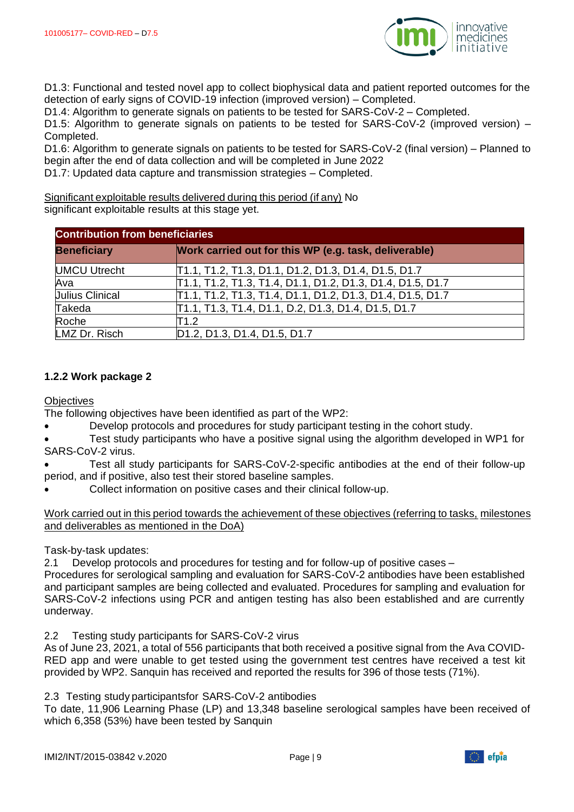

D1.3: Functional and tested novel app to collect biophysical data and patient reported outcomes for the detection of early signs of COVID-19 infection (improved version) – Completed.

D1.4: Algorithm to generate signals on patients to be tested for SARS-CoV-2 – Completed.

D1.5: Algorithm to generate signals on patients to be tested for SARS-CoV-2 (improved version) – Completed.

D1.6: Algorithm to generate signals on patients to be tested for SARS-CoV-2 (final version) – Planned to begin after the end of data collection and will be completed in June 2022

D1.7: Updated data capture and transmission strategies – Completed.

Significant exploitable results delivered during this period (if any) No significant exploitable results at this stage yet.

| <b>Contribution from beneficiaries</b> |                                                            |  |
|----------------------------------------|------------------------------------------------------------|--|
| <b>Beneficiary</b>                     | Work carried out for this WP (e.g. task, deliverable)      |  |
| <b>UMCU Utrecht</b>                    | [T1.1, T1.2, T1.3, D1.1, D1.2, D1.3, D1.4, D1.5, D1.7      |  |
| Ava                                    | T1.1, T1.2, T1.3, T1.4, D1.1, D1.2, D1.3, D1.4, D1.5, D1.7 |  |
| <b>Julius Clinical</b>                 | T1.1, T1.2, T1.3, T1.4, D1.1, D1.2, D1.3, D1.4, D1.5, D1.7 |  |
| Takeda                                 | T1.1, T1.3, T1.4, D1.1, D.2, D1.3, D1.4, D1.5, D1.7        |  |
| Roche                                  | T1.2                                                       |  |
| LMZ Dr. Risch                          | D1.2, D1.3, D1.4, D1.5, D1.7                               |  |

#### **1.2.2 Work package 2**

**Objectives** 

The following objectives have been identified as part of the WP2:

• Develop protocols and procedures for study participant testing in the cohort study.

• Test study participants who have a positive signal using the algorithm developed in WP1 for SARS-CoV-2 virus.

- Test all study participants for SARS-CoV-2-specific antibodies at the end of their follow-up period, and if positive, also test their stored baseline samples.
- Collect information on positive cases and their clinical follow-up.

Work carried out in this period towards the achievement of these objectives (referring to tasks, milestones and deliverables as mentioned in the DoA)

Task-by-task updates:

2.1 Develop protocols and procedures for testing and for follow-up of positive cases –

Procedures for serological sampling and evaluation for SARS-CoV-2 antibodies have been established and participant samples are being collected and evaluated. Procedures for sampling and evaluation for SARS-CoV-2 infections using PCR and antigen testing has also been established and are currently underway.

2.2 Testing study participants for SARS-CoV-2 virus

As of June 23, 2021, a total of 556 participants that both received a positive signal from the Ava COVID-RED app and were unable to get tested using the government test centres have received a test kit provided by WP2. Sanquin has received and reported the results for 396 of those tests (71%).

2.3 Testing study participantsfor SARS-CoV-2 antibodies

To date, 11,906 Learning Phase (LP) and 13,348 baseline serological samples have been received of which 6,358 (53%) have been tested by Sanquin

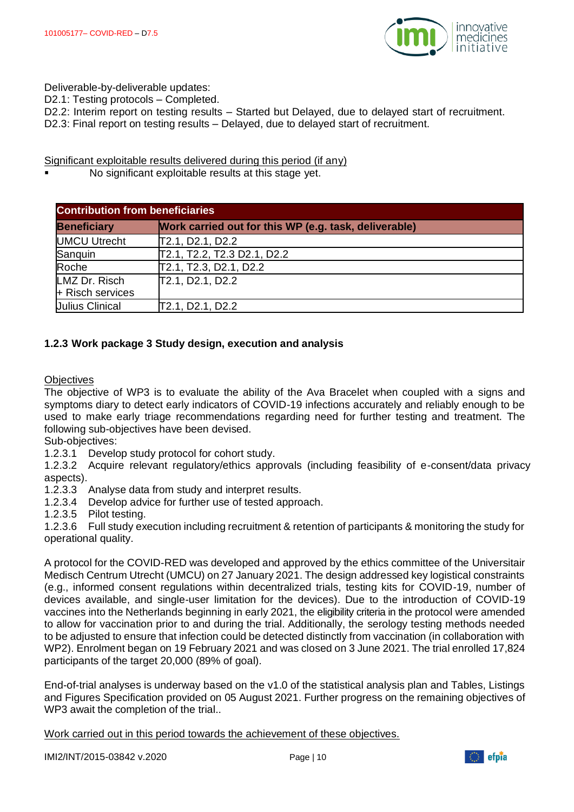

Deliverable-by-deliverable updates:

D2.1: Testing protocols – Completed.

- D2.2: Interim report on testing results Started but Delayed, due to delayed start of recruitment.
- D2.3: Final report on testing results Delayed, due to delayed start of recruitment.

Significant exploitable results delivered during this period (if any)

No significant exploitable results at this stage yet.

| <b>Contribution from beneficiaries</b> |                                                       |  |
|----------------------------------------|-------------------------------------------------------|--|
| <b>Beneficiary</b>                     | Work carried out for this WP (e.g. task, deliverable) |  |
| <b>UMCU Utrecht</b>                    | T2.1, D2.1, D2.2                                      |  |
| Sanquin                                | T2.1, T2.2, T2.3 D2.1, D2.2                           |  |
| Roche                                  | T2.1, T2.3, D2.1, D2.2                                |  |
| LMZ Dr. Risch                          | T2.1, D2.1, D2.2                                      |  |
| + Risch services                       |                                                       |  |
| <b>Julius Clinical</b>                 | T2.1, D2.1, D2.2                                      |  |

#### **1.2.3 Work package 3 Study design, execution and analysis**

**Objectives** 

The objective of WP3 is to evaluate the ability of the Ava Bracelet when coupled with a signs and symptoms diary to detect early indicators of COVID-19 infections accurately and reliably enough to be used to make early triage recommendations regarding need for further testing and treatment. The following sub-objectives have been devised.

Sub-objectives:

1.2.3.1 Develop study protocol for cohort study.

1.2.3.2 Acquire relevant regulatory/ethics approvals (including feasibility of e-consent/data privacy aspects).

1.2.3.3 Analyse data from study and interpret results.

1.2.3.4 Develop advice for further use of tested approach.

1.2.3.5 Pilot testing.

1.2.3.6 Full study execution including recruitment & retention of participants & monitoring the study for operational quality.

A protocol for the COVID-RED was developed and approved by the ethics committee of the Universitair Medisch Centrum Utrecht (UMCU) on 27 January 2021. The design addressed key logistical constraints (e.g., informed consent regulations within decentralized trials, testing kits for COVID-19, number of devices available, and single-user limitation for the devices). Due to the introduction of COVID-19 vaccines into the Netherlands beginning in early 2021, the eligibility criteria in the protocol were amended to allow for vaccination prior to and during the trial. Additionally, the serology testing methods needed to be adjusted to ensure that infection could be detected distinctly from vaccination (in collaboration with WP2). Enrolment began on 19 February 2021 and was closed on 3 June 2021. The trial enrolled 17,824 participants of the target 20,000 (89% of goal).

End-of-trial analyses is underway based on the v1.0 of the statistical analysis plan and Tables, Listings and Figures Specification provided on 05 August 2021. Further progress on the remaining objectives of WP3 await the completion of the trial..

Work carried out in this period towards the achievement of these objectives.

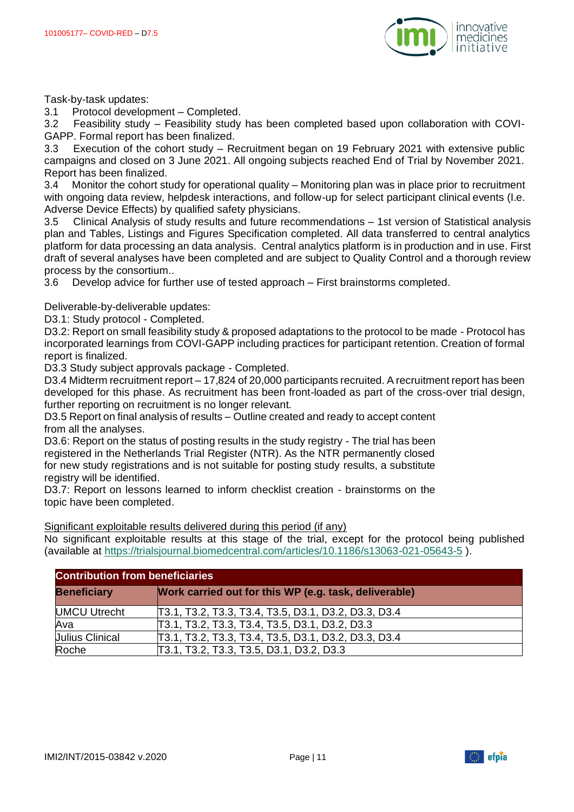

Task-by-task updates:

3.1 Protocol development – Completed.

3.2 Feasibility study – Feasibility study has been completed based upon collaboration with COVI-GAPP. Formal report has been finalized.

3.3 Execution of the cohort study – Recruitment began on 19 February 2021 with extensive public campaigns and closed on 3 June 2021. All ongoing subjects reached End of Trial by November 2021. Report has been finalized.

3.4 Monitor the cohort study for operational quality – Monitoring plan was in place prior to recruitment with ongoing data review, helpdesk interactions, and follow-up for select participant clinical events (I.e. Adverse Device Effects) by qualified safety physicians.

3.5 Clinical Analysis of study results and future recommendations – 1st version of Statistical analysis plan and Tables, Listings and Figures Specification completed. All data transferred to central analytics platform for data processing an data analysis. Central analytics platform is in production and in use. First draft of several analyses have been completed and are subject to Quality Control and a thorough review process by the consortium..

3.6 Develop advice for further use of tested approach – First brainstorms completed.

Deliverable-by-deliverable updates:

D3.1: Study protocol - Completed.

D3.2: Report on small feasibility study & proposed adaptations to the protocol to be made - Protocol has incorporated learnings from COVI-GAPP including practices for participant retention. Creation of formal report is finalized.

D3.3 Study subject approvals package - Completed.

D3.4 Midterm recruitment report – 17,824 of 20,000 participants recruited. A recruitment report has been developed for this phase. As recruitment has been front-loaded as part of the cross-over trial design, further reporting on recruitment is no longer relevant.

D3.5 Report on final analysis of results – Outline created and ready to accept content from all the analyses.

D3.6: Report on the status of posting results in the study registry - The trial has been registered in the Netherlands Trial Register (NTR). As the NTR permanently closed for new study registrations and is not suitable for posting study results, a substitute registry will be identified.

D3.7: Report on lessons learned to inform checklist creation - brainstorms on the topic have been completed.

Significant exploitable results delivered during this period (if any)

No significant exploitable results at this stage of the trial, except for the protocol being published (available at<https://trialsjournal.biomedcentral.com/articles/10.1186/s13063-021-05643-5> ).

| <b>Contribution from beneficiaries</b> |                                                       |  |
|----------------------------------------|-------------------------------------------------------|--|
| <b>Beneficiary</b>                     | Work carried out for this WP (e.g. task, deliverable) |  |
| <b>UMCU Utrecht</b>                    | [T3.1, T3.2, T3.3, T3.4, T3.5, D3.1, D3.2, D3.3, D3.4 |  |
| Ava                                    | T3.1, T3.2, T3.3, T3.4, T3.5, D3.1, D3.2, D3.3        |  |
| <b>Julius Clinical</b>                 | [T3.1, T3.2, T3.3, T3.4, T3.5, D3.1, D3.2, D3.3, D3.4 |  |
| Roche                                  | T3.1, T3.2, T3.3, T3.5, D3.1, D3.2, D3.3              |  |

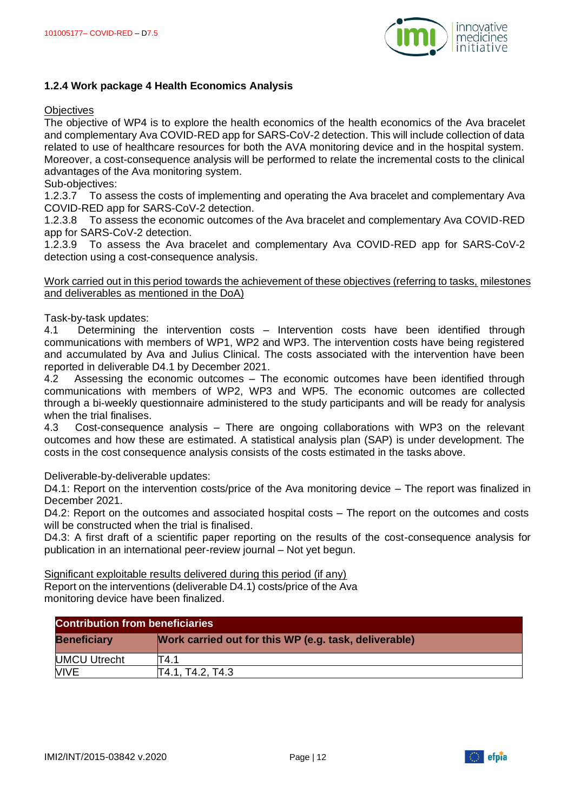

#### **1.2.4 Work package 4 Health Economics Analysis**

#### **Objectives**

The objective of WP4 is to explore the health economics of the health economics of the Ava bracelet and complementary Ava COVID-RED app for SARS-CoV-2 detection. This will include collection of data related to use of healthcare resources for both the AVA monitoring device and in the hospital system. Moreover, a cost-consequence analysis will be performed to relate the incremental costs to the clinical advantages of the Ava monitoring system.

Sub-objectives:

1.2.3.7 To assess the costs of implementing and operating the Ava bracelet and complementary Ava COVID-RED app for SARS-CoV-2 detection.

1.2.3.8 To assess the economic outcomes of the Ava bracelet and complementary Ava COVID-RED app for SARS-CoV-2 detection.

1.2.3.9 To assess the Ava bracelet and complementary Ava COVID-RED app for SARS-CoV-2 detection using a cost-consequence analysis.

#### Work carried out in this period towards the achievement of these objectives (referring to tasks, milestones and deliverables as mentioned in the DoA)

Task-by-task updates:

4.1 Determining the intervention costs – Intervention costs have been identified through communications with members of WP1, WP2 and WP3. The intervention costs have being registered and accumulated by Ava and Julius Clinical. The costs associated with the intervention have been reported in deliverable D4.1 by December 2021.

4.2 Assessing the economic outcomes – The economic outcomes have been identified through communications with members of WP2, WP3 and WP5. The economic outcomes are collected through a bi-weekly questionnaire administered to the study participants and will be ready for analysis when the trial finalises.

4.3 Cost-consequence analysis – There are ongoing collaborations with WP3 on the relevant outcomes and how these are estimated. A statistical analysis plan (SAP) is under development. The costs in the cost consequence analysis consists of the costs estimated in the tasks above.

Deliverable-by-deliverable updates:

D4.1: Report on the intervention costs/price of the Ava monitoring device – The report was finalized in December 2021.

D4.2: Report on the outcomes and associated hospital costs – The report on the outcomes and costs will be constructed when the trial is finalised.

D4.3: A first draft of a scientific paper reporting on the results of the cost-consequence analysis for publication in an international peer-review journal – Not yet begun.

Significant exploitable results delivered during this period (if any)

Report on the interventions (deliverable D4.1) costs/price of the Ava monitoring device have been finalized.

| <b>Contribution from beneficiaries</b> |                                                       |  |
|----------------------------------------|-------------------------------------------------------|--|
| <b>Beneficiary</b>                     | Work carried out for this WP (e.g. task, deliverable) |  |
| <b>UMCU Utrecht</b>                    | T4.1                                                  |  |
| <b>VIVE</b>                            | T4.1, T4.2, T4.3                                      |  |

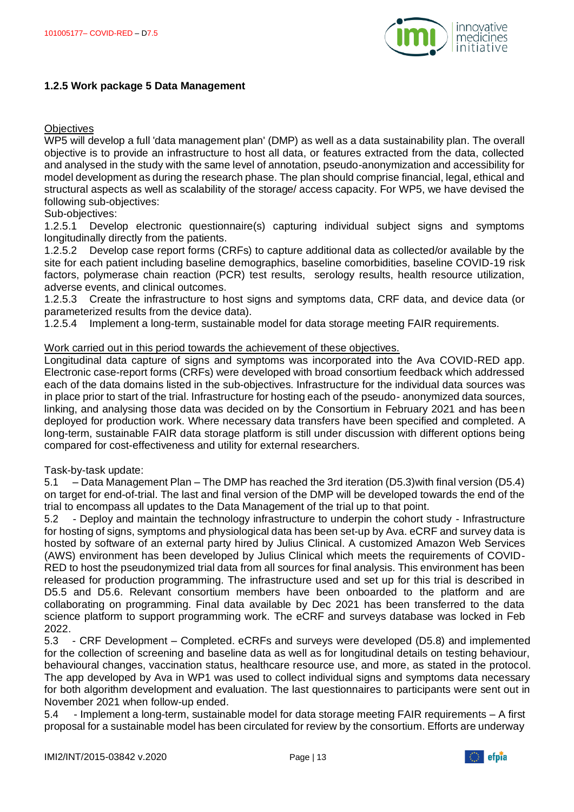

#### **1.2.5 Work package 5 Data Management**

#### **Objectives**

WP5 will develop a full 'data management plan' (DMP) as well as a data sustainability plan. The overall objective is to provide an infrastructure to host all data, or features extracted from the data, collected and analysed in the study with the same level of annotation, pseudo-anonymization and accessibility for model development as during the research phase. The plan should comprise financial, legal, ethical and structural aspects as well as scalability of the storage/ access capacity. For WP5, we have devised the following sub-objectives:

#### Sub-objectives:

1.2.5.1 Develop electronic questionnaire(s) capturing individual subject signs and symptoms longitudinally directly from the patients.

1.2.5.2 Develop case report forms (CRFs) to capture additional data as collected/or available by the site for each patient including baseline demographics, baseline comorbidities, baseline COVID-19 risk factors, polymerase chain reaction (PCR) test results, serology results, health resource utilization, adverse events, and clinical outcomes.

1.2.5.3 Create the infrastructure to host signs and symptoms data, CRF data, and device data (or parameterized results from the device data).

1.2.5.4 Implement a long-term, sustainable model for data storage meeting FAIR requirements.

#### Work carried out in this period towards the achievement of these objectives.

Longitudinal data capture of signs and symptoms was incorporated into the Ava COVID-RED app. Electronic case-report forms (CRFs) were developed with broad consortium feedback which addressed each of the data domains listed in the sub-objectives. Infrastructure for the individual data sources was in place prior to start of the trial. Infrastructure for hosting each of the pseudo- anonymized data sources, linking, and analysing those data was decided on by the Consortium in February 2021 and has been deployed for production work. Where necessary data transfers have been specified and completed. A long-term, sustainable FAIR data storage platform is still under discussion with different options being compared for cost-effectiveness and utility for external researchers.

#### Task-by-task update:

5.1 – Data Management Plan – The DMP has reached the 3rd iteration (D5.3)with final version (D5.4) on target for end-of-trial. The last and final version of the DMP will be developed towards the end of the trial to encompass all updates to the Data Management of the trial up to that point.

5.2 - Deploy and maintain the technology infrastructure to underpin the cohort study - Infrastructure for hosting of signs, symptoms and physiological data has been set-up by Ava. eCRF and survey data is hosted by software of an external party hired by Julius Clinical. A customized Amazon Web Services (AWS) environment has been developed by Julius Clinical which meets the requirements of COVID-RED to host the pseudonymized trial data from all sources for final analysis. This environment has been released for production programming. The infrastructure used and set up for this trial is described in D5.5 and D5.6. Relevant consortium members have been onboarded to the platform and are collaborating on programming. Final data available by Dec 2021 has been transferred to the data science platform to support programming work. The eCRF and surveys database was locked in Feb 2022.

5.3 - CRF Development – Completed. eCRFs and surveys were developed (D5.8) and implemented for the collection of screening and baseline data as well as for longitudinal details on testing behaviour, behavioural changes, vaccination status, healthcare resource use, and more, as stated in the protocol. The app developed by Ava in WP1 was used to collect individual signs and symptoms data necessary for both algorithm development and evaluation. The last questionnaires to participants were sent out in November 2021 when follow-up ended.

5.4 - Implement a long-term, sustainable model for data storage meeting FAIR requirements – A first proposal for a sustainable model has been circulated for review by the consortium. Efforts are underway

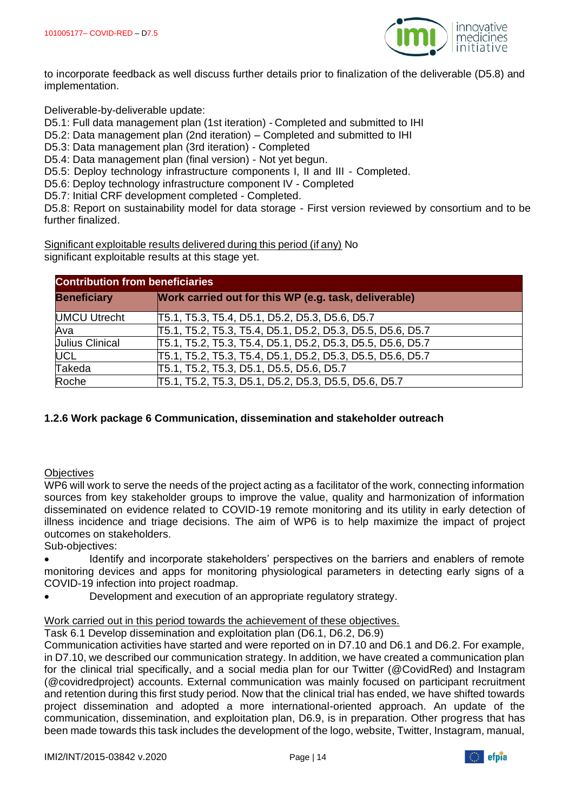

to incorporate feedback as well discuss further details prior to finalization of the deliverable (D5.8) and implementation.

Deliverable-by-deliverable update:

D5.1: Full data management plan (1st iteration) - Completed and submitted to IHI

D5.2: Data management plan (2nd iteration) – Completed and submitted to IHI

D5.3: Data management plan (3rd iteration) - Completed

D5.4: Data management plan (final version) - Not yet begun.

D5.5: Deploy technology infrastructure components I, II and III - Completed.

D5.6: Deploy technology infrastructure component IV - Completed

D5.7: Initial CRF development completed - Completed.

D5.8: Report on sustainability model for data storage - First version reviewed by consortium and to be further finalized.

Significant exploitable results delivered during this period (if any) No significant exploitable results at this stage yet.

| <b>Contribution from beneficiaries</b> |                                                            |  |
|----------------------------------------|------------------------------------------------------------|--|
| <b>Beneficiary</b>                     | Work carried out for this WP (e.g. task, deliverable)      |  |
| <b>UMCU Utrecht</b>                    | T5.1, T5.3, T5.4, D5.1, D5.2, D5.3, D5.6, D5.7             |  |
| Ava                                    | T5.1, T5.2, T5.3, T5.4, D5.1, D5.2, D5.3, D5.5, D5.6, D5.7 |  |
| <b>Julius Clinical</b>                 | T5.1, T5.2, T5.3, T5.4, D5.1, D5.2, D5.3, D5.5, D5.6, D5.7 |  |
| <b>UCL</b>                             | T5.1, T5.2, T5.3, T5.4, D5.1, D5.2, D5.3, D5.5, D5.6, D5.7 |  |
| Takeda                                 | T5.1, T5.2, T5.3, D5.1, D5.5, D5.6, D5.7                   |  |
| Roche                                  | T5.1, T5.2, T5.3, D5.1, D5.2, D5.3, D5.5, D5.6, D5.7       |  |

# **1.2.6 Work package 6 Communication, dissemination and stakeholder outreach**

#### **Objectives**

WP6 will work to serve the needs of the project acting as a facilitator of the work, connecting information sources from key stakeholder groups to improve the value, quality and harmonization of information disseminated on evidence related to COVID-19 remote monitoring and its utility in early detection of illness incidence and triage decisions. The aim of WP6 is to help maximize the impact of project outcomes on stakeholders.

Sub-objectives:

• Identify and incorporate stakeholders' perspectives on the barriers and enablers of remote monitoring devices and apps for monitoring physiological parameters in detecting early signs of a COVID-19 infection into project roadmap.

• Development and execution of an appropriate regulatory strategy.

#### Work carried out in this period towards the achievement of these objectives.

Task 6.1 Develop dissemination and exploitation plan (D6.1, D6.2, D6.9)

Communication activities have started and were reported on in D7.10 and D6.1 and D6.2. For example, in D7.10, we described our communication strategy. In addition, we have created a communication plan for the clinical trial specifically, and a social media plan for our Twitter (@CovidRed) and Instagram (@covidredproject) accounts. External communication was mainly focused on participant recruitment and retention during this first study period. Now that the clinical trial has ended, we have shifted towards project dissemination and adopted a more international-oriented approach. An update of the communication, dissemination, and exploitation plan, D6.9, is in preparation. Other progress that has been made towards this task includes the development of the logo, website, Twitter, Instagram, manual,

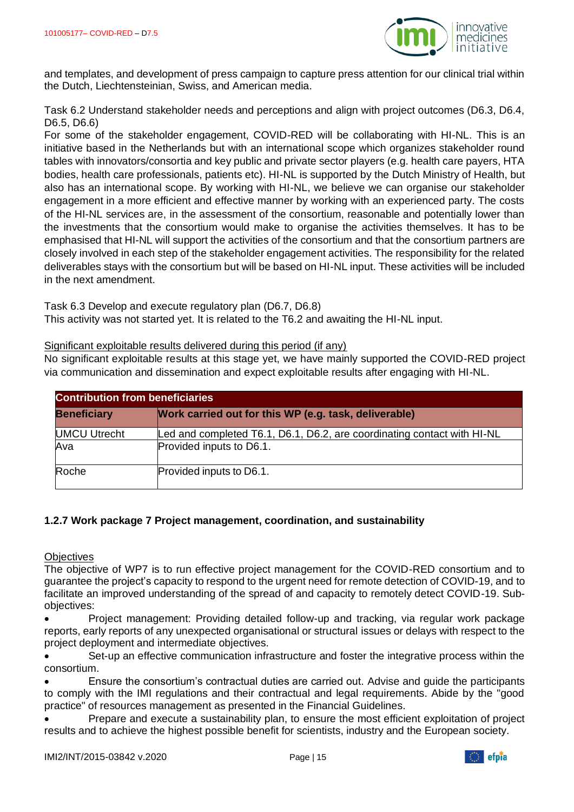

and templates, and development of press campaign to capture press attention for our clinical trial within the Dutch, Liechtensteinian, Swiss, and American media.

Task 6.2 Understand stakeholder needs and perceptions and align with project outcomes (D6.3, D6.4, D6.5, D6.6)

For some of the stakeholder engagement, COVID-RED will be collaborating with HI-NL. This is an initiative based in the Netherlands but with an international scope which organizes stakeholder round tables with innovators/consortia and key public and private sector players (e.g. health care payers, HTA bodies, health care professionals, patients etc). HI-NL is supported by the Dutch Ministry of Health, but also has an international scope. By working with HI-NL, we believe we can organise our stakeholder engagement in a more efficient and effective manner by working with an experienced party. The costs of the HI-NL services are, in the assessment of the consortium, reasonable and potentially lower than the investments that the consortium would make to organise the activities themselves. It has to be emphasised that HI-NL will support the activities of the consortium and that the consortium partners are closely involved in each step of the stakeholder engagement activities. The responsibility for the related deliverables stays with the consortium but will be based on HI-NL input. These activities will be included in the next amendment.

Task 6.3 Develop and execute regulatory plan (D6.7, D6.8) This activity was not started yet. It is related to the T6.2 and awaiting the HI-NL input.

Significant exploitable results delivered during this period (if any)

No significant exploitable results at this stage yet, we have mainly supported the COVID-RED project via communication and dissemination and expect exploitable results after engaging with HI-NL.

| <b>Contribution from beneficiaries</b> |                                                                         |  |
|----------------------------------------|-------------------------------------------------------------------------|--|
| <b>Beneficiary</b>                     | Work carried out for this WP (e.g. task, deliverable)                   |  |
| <b>UMCU Utrecht</b>                    | Led and completed T6.1, D6.1, D6.2, are coordinating contact with HI-NL |  |
| Ava                                    | Provided inputs to D6.1.                                                |  |
| Roche                                  | Provided inputs to D6.1.                                                |  |

# **1.2.7 Work package 7 Project management, coordination, and sustainability**

**Objectives** 

The objective of WP7 is to run effective project management for the COVID-RED consortium and to guarantee the project's capacity to respond to the urgent need for remote detection of COVID-19, and to facilitate an improved understanding of the spread of and capacity to remotely detect COVID-19. Subobjectives:

• Project management: Providing detailed follow-up and tracking, via regular work package reports, early reports of any unexpected organisational or structural issues or delays with respect to the project deployment and intermediate objectives.

Set-up an effective communication infrastructure and foster the integrative process within the consortium.

• Ensure the consortium's contractual duties are carried out. Advise and guide the participants to comply with the IMI regulations and their contractual and legal requirements. Abide by the "good practice" of resources management as presented in the Financial Guidelines.

• Prepare and execute a sustainability plan, to ensure the most efficient exploitation of project results and to achieve the highest possible benefit for scientists, industry and the European society.

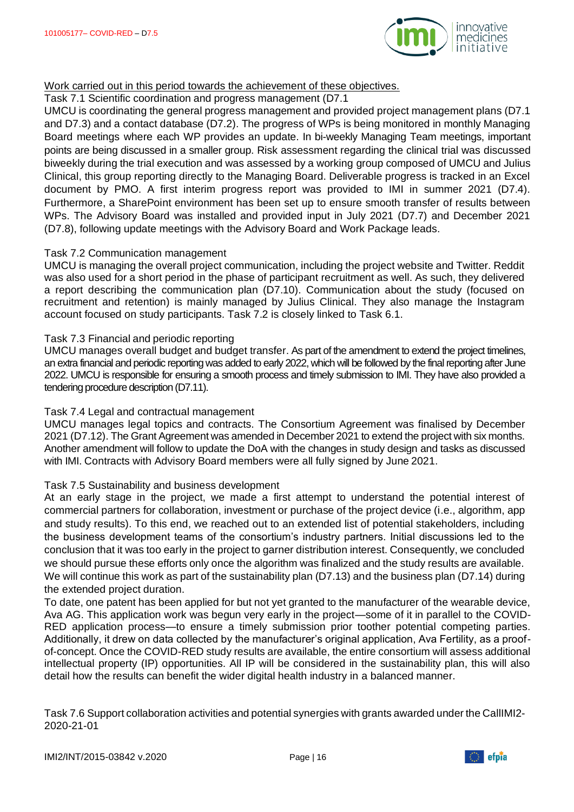

#### Work carried out in this period towards the achievement of these objectives.

Task 7.1 Scientific coordination and progress management (D7.1

UMCU is coordinating the general progress management and provided project management plans (D7.1 and D7.3) and a contact database (D7.2). The progress of WPs is being monitored in monthly Managing Board meetings where each WP provides an update. In bi-weekly Managing Team meetings, important points are being discussed in a smaller group. Risk assessment regarding the clinical trial was discussed biweekly during the trial execution and was assessed by a working group composed of UMCU and Julius Clinical, this group reporting directly to the Managing Board. Deliverable progress is tracked in an Excel document by PMO. A first interim progress report was provided to IMI in summer 2021 (D7.4). Furthermore, a SharePoint environment has been set up to ensure smooth transfer of results between WPs. The Advisory Board was installed and provided input in July 2021 (D7.7) and December 2021 (D7.8), following update meetings with the Advisory Board and Work Package leads.

#### Task 7.2 Communication management

UMCU is managing the overall project communication, including the project website and Twitter. Reddit was also used for a short period in the phase of participant recruitment as well. As such, they delivered a report describing the communication plan (D7.10). Communication about the study (focused on recruitment and retention) is mainly managed by Julius Clinical. They also manage the Instagram account focused on study participants. Task 7.2 is closely linked to Task 6.1.

#### Task 7.3 Financial and periodic reporting

UMCU manages overall budget and budget transfer. As part of the amendment to extend the project timelines, an extra financial and periodic reporting was added to early 2022, which will be followed by the final reporting after June 2022. UMCU is responsible for ensuring a smooth process and timely submission to IMI. They have also provided a tendering procedure description (D7.11).

#### Task 7.4 Legal and contractual management

UMCU manages legal topics and contracts. The Consortium Agreement was finalised by December 2021 (D7.12). The Grant Agreement was amended in December 2021 to extend the project with six months. Another amendment will follow to update the DoA with the changes in study design and tasks as discussed with IMI. Contracts with Advisory Board members were all fully signed by June 2021.

#### Task 7.5 Sustainability and business development

At an early stage in the project, we made a first attempt to understand the potential interest of commercial partners for collaboration, investment or purchase of the project device (i.e., algorithm, app and study results). To this end, we reached out to an extended list of potential stakeholders, including the business development teams of the consortium's industry partners. Initial discussions led to the conclusion that it was too early in the project to garner distribution interest. Consequently, we concluded we should pursue these efforts only once the algorithm was finalized and the study results are available. We will continue this work as part of the sustainability plan (D7.13) and the business plan (D7.14) during the extended project duration.

To date, one patent has been applied for but not yet granted to the manufacturer of the wearable device, Ava AG. This application work was begun very early in the project—some of it in parallel to the COVID-RED application process—to ensure a timely submission prior toother potential competing parties. Additionally, it drew on data collected by the manufacturer's original application, Ava Fertility, as a proofof-concept. Once the COVID-RED study results are available, the entire consortium will assess additional intellectual property (IP) opportunities. All IP will be considered in the sustainability plan, this will also detail how the results can benefit the wider digital health industry in a balanced manner.

Task 7.6 Support collaboration activities and potential synergies with grants awarded under the CallIMI2- 2020-21-01

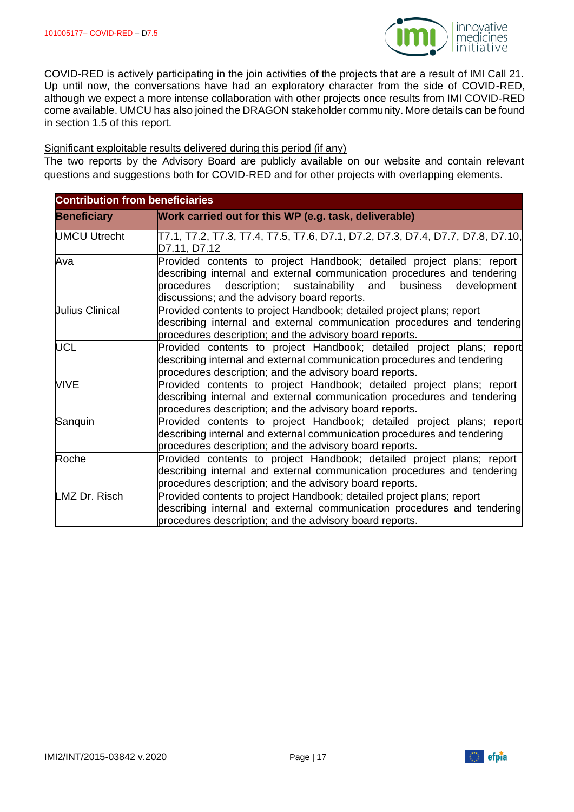

COVID-RED is actively participating in the join activities of the projects that are a result of IMI Call 21. Up until now, the conversations have had an exploratory character from the side of COVID-RED, although we expect a more intense collaboration with other projects once results from IMI COVID-RED come available. UMCU has also joined the DRAGON stakeholder community. More details can be found in section 1.5 of this report.

#### Significant exploitable results delivered during this period (if any)

The two reports by the Advisory Board are publicly available on our website and contain relevant questions and suggestions both for COVID-RED and for other projects with overlapping elements.

| <b>Contribution from beneficiaries</b> |                                                                                                                                                                                                                                                                        |  |
|----------------------------------------|------------------------------------------------------------------------------------------------------------------------------------------------------------------------------------------------------------------------------------------------------------------------|--|
| <b>Beneficiary</b>                     | Work carried out for this WP (e.g. task, deliverable)                                                                                                                                                                                                                  |  |
| <b>UMCU Utrecht</b>                    | T7.1, T7.2, T7.3, T7.4, T7.5, T7.6, D7.1, D7.2, D7.3, D7.4, D7.7, D7.8, D7.10, <br>D7.11, D7.12                                                                                                                                                                        |  |
| Ava                                    | Provided contents to project Handbook; detailed project plans; report<br>describing internal and external communication procedures and tendering<br>procedures description; sustainability and business<br>development<br>discussions; and the advisory board reports. |  |
| <b>Julius Clinical</b>                 | Provided contents to project Handbook; detailed project plans; report<br>describing internal and external communication procedures and tendering<br>procedures description; and the advisory board reports.                                                            |  |
| <b>UCL</b>                             | Provided contents to project Handbook; detailed project plans; report<br>describing internal and external communication procedures and tendering<br>procedures description; and the advisory board reports.                                                            |  |
| <b>VIVE</b>                            | Provided contents to project Handbook; detailed project plans; report<br>describing internal and external communication procedures and tendering<br>procedures description; and the advisory board reports.                                                            |  |
| Sanquin                                | Provided contents to project Handbook; detailed project plans; report<br>describing internal and external communication procedures and tendering<br>procedures description; and the advisory board reports.                                                            |  |
| Roche                                  | Provided contents to project Handbook; detailed project plans; report<br>describing internal and external communication procedures and tendering<br>procedures description; and the advisory board reports.                                                            |  |
| LMZ Dr. Risch                          | Provided contents to project Handbook; detailed project plans; report<br>describing internal and external communication procedures and tendering<br>procedures description; and the advisory board reports.                                                            |  |



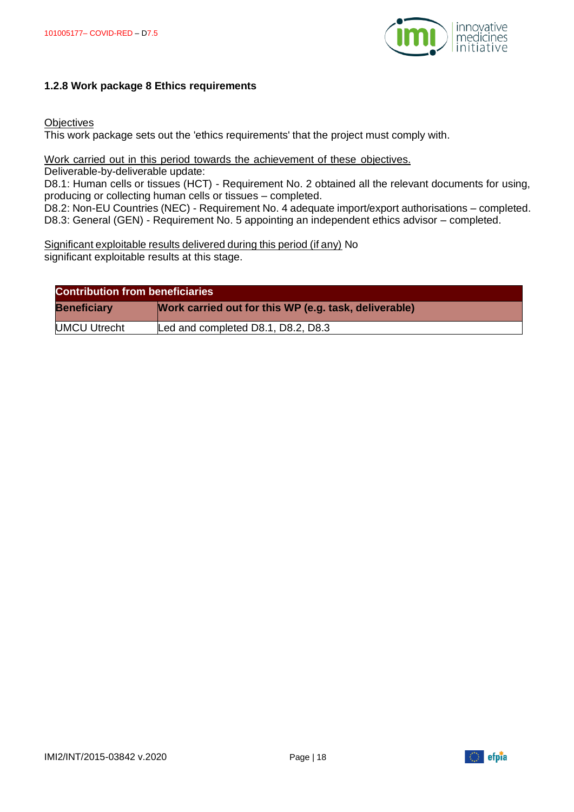

#### **1.2.8 Work package 8 Ethics requirements**

#### **Objectives**

This work package sets out the 'ethics requirements' that the project must comply with.

#### Work carried out in this period towards the achievement of these objectives.

Deliverable-by-deliverable update:

D8.1: Human cells or tissues (HCT) - Requirement No. 2 obtained all the relevant documents for using, producing or collecting human cells or tissues – completed.

D8.2: Non-EU Countries (NEC) - Requirement No. 4 adequate import/export authorisations – completed. D8.3: General (GEN) - Requirement No. 5 appointing an independent ethics advisor – completed.

Significant exploitable results delivered during this period (if any) No significant exploitable results at this stage.

| <b>Contribution from beneficiaries</b> |                                                       |  |
|----------------------------------------|-------------------------------------------------------|--|
| <b>Beneficiary</b>                     | Work carried out for this WP (e.g. task, deliverable) |  |
| <b>UMCU Utrecht</b>                    | Led and completed D8.1, D8.2, D8.3                    |  |

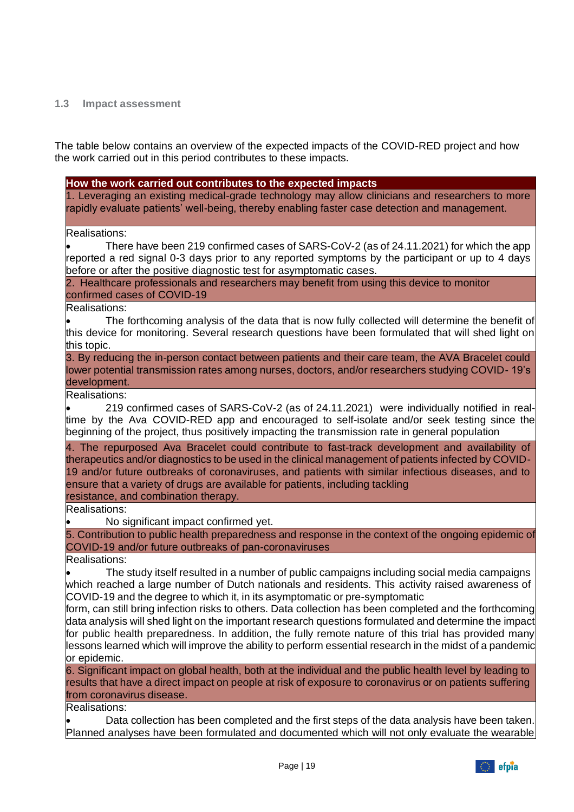#### <span id="page-18-0"></span>**1.3 Impact assessment**

The table below contains an overview of the expected impacts of the COVID-RED project and how the work carried out in this period contributes to these impacts.

#### **How the work carried out contributes to the expected impacts**

1. Leveraging an existing medical-grade technology may allow clinicians and researchers to more rapidly evaluate patients' well-being, thereby enabling faster case detection and management.

#### Realisations:

• There have been 219 confirmed cases of SARS-CoV-2 (as of 24.11.2021) for which the app reported a red signal 0-3 days prior to any reported symptoms by the participant or up to 4 days before or after the positive diagnostic test for asymptomatic cases.

2. Healthcare professionals and researchers may benefit from using this device to monitor confirmed cases of COVID-19

Realisations:

• The forthcoming analysis of the data that is now fully collected will determine the benefit of this device for monitoring. Several research questions have been formulated that will shed light on this topic.

3. By reducing the in-person contact between patients and their care team, the AVA Bracelet could lower potential transmission rates among nurses, doctors, and/or researchers studying COVID- 19's development.

Realisations:

• 219 confirmed cases of SARS-CoV-2 (as of 24.11.2021) were individually notified in realtime by the Ava COVID-RED app and encouraged to self-isolate and/or seek testing since the beginning of the project, thus positively impacting the transmission rate in general population

4. The repurposed Ava Bracelet could contribute to fast-track development and availability of therapeutics and/or diagnostics to be used in the clinical management of patients infected by COVID-19 and/or future outbreaks of coronaviruses, and patients with similar infectious diseases, and to ensure that a variety of drugs are available for patients, including tackling resistance, and combination therapy.

Realisations:

• No significant impact confirmed yet.

5. Contribution to public health preparedness and response in the context of the ongoing epidemic of COVID-19 and/or future outbreaks of pan-coronaviruses

Realisations:

• The study itself resulted in a number of public campaigns including social media campaigns which reached a large number of Dutch nationals and residents. This activity raised awareness of COVID-19 and the degree to which it, in its asymptomatic or pre-symptomatic

form, can still bring infection risks to others. Data collection has been completed and the forthcoming data analysis will shed light on the important research questions formulated and determine the impact for public health preparedness. In addition, the fully remote nature of this trial has provided many lessons learned which will improve the ability to perform essential research in the midst of a pandemic or epidemic.

6. Significant impact on global health, both at the individual and the public health level by leading to results that have a direct impact on people at risk of exposure to coronavirus or on patients suffering from coronavirus disease.

Realisations:

• Data collection has been completed and the first steps of the data analysis have been taken. Planned analyses have been formulated and documented which will not only evaluate the wearable

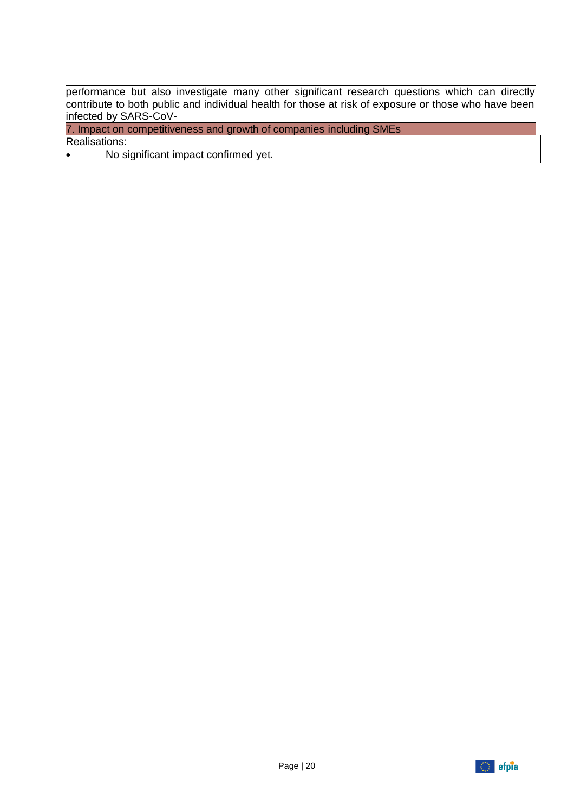performance but also investigate many other significant research questions which can directly contribute to both public and individual health for those at risk of exposure or those who have been infected by SARS-CoV-

7. Impact on competitiveness and growth of companies including SMEs

Realisations:

• No significant impact confirmed yet.

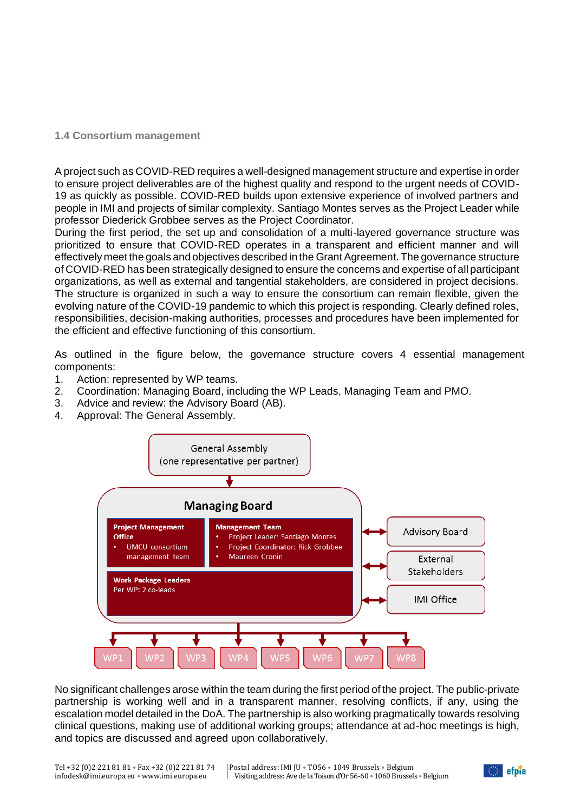#### <span id="page-20-0"></span>**1.4 Consortium management**

A project such as COVID-RED requires a well-designed management structure and expertise in order to ensure project deliverables are of the highest quality and respond to the urgent needs of COVID-19 as quickly as possible. COVID-RED builds upon extensive experience of involved partners and people in IMI and projects of similar complexity. Santiago Montes serves as the Project Leader while professor Diederick Grobbee serves as the Project Coordinator.

During the first period, the set up and consolidation of a multi-layered governance structure was prioritized to ensure that COVID-RED operates in a transparent and efficient manner and will effectively meet the goals and objectives described in the Grant Agreement. The governance structure of COVID-RED has been strategically designed to ensure the concerns and expertise of all participant organizations, as well as external and tangential stakeholders, are considered in project decisions. The structure is organized in such a way to ensure the consortium can remain flexible, given the evolving nature of the COVID-19 pandemic to which this project is responding. Clearly defined roles, responsibilities, decision-making authorities, processes and procedures have been implemented for the efficient and effective functioning of this consortium.

As outlined in the figure below, the governance structure covers 4 essential management components:

- 1. Action: represented by WP teams.
- 2. Coordination: Managing Board, including the WP Leads, Managing Team and PMO.
- 3. Advice and review: the Advisory Board (AB).
- 4. Approval: The General Assembly.



No significant challenges arose within the team during the first period of the project. The public-private partnership is working well and in a transparent manner, resolving conflicts, if any, using the escalation model detailed in the DoA. The partnership is also working pragmatically towards resolving clinical questions, making use of additional working groups; attendance at ad-hoc meetings is high, and topics are discussed and agreed upon collaboratively.

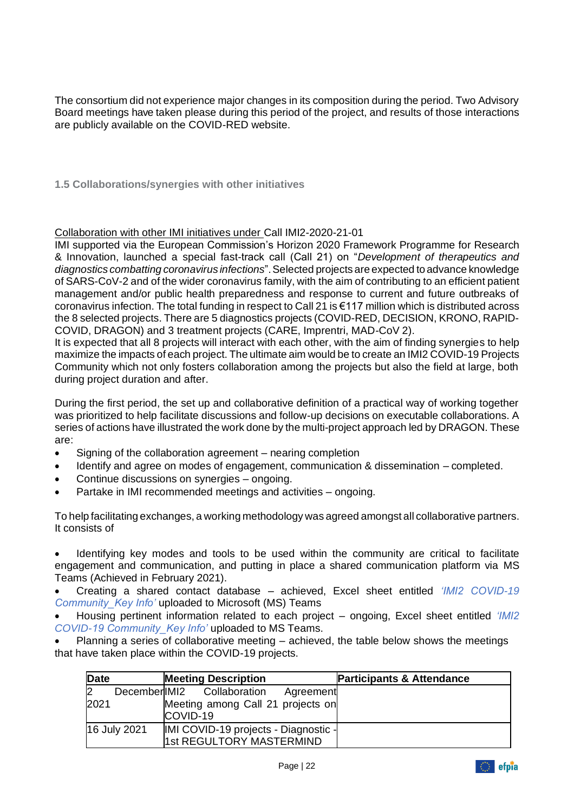The consortium did not experience major changes in its composition during the period. Two Advisory Board meetings have taken please during this period of the project, and results of those interactions are publicly available on the COVID-RED website.

<span id="page-21-0"></span>**1.5 Collaborations/synergies with other initiatives**

Collaboration with other IMI initiatives under Call IMI2-2020-21-01

IMI supported via the European Commission's Horizon 2020 Framework Programme for Research & Innovation, launched a special fast-track call (Call 21) on "*Development of therapeutics and diagnostics combatting coronavirus infections*".Selected projects are expected to advance knowledge of SARS-CoV-2 and of the wider coronavirus family, with the aim of contributing to an efficient patient management and/or public health preparedness and response to current and future outbreaks of coronavirus infection. The total funding in respect to Call 21 is €117 million which is distributed across the 8 selected projects. There are 5 diagnostics projects (COVID-RED, DECISION, KRONO, RAPID-COVID, DRAGON) and 3 treatment projects (CARE, Imprentri, MAD-CoV 2).

It is expected that all 8 projects will interact with each other, with the aim of finding synergies to help maximize the impacts of each project. The ultimate aim would be to create an IMI2 COVID-19 Projects Community which not only fosters collaboration among the projects but also the field at large, both during project duration and after.

During the first period, the set up and collaborative definition of a practical way of working together was prioritized to help facilitate discussions and follow-up decisions on executable collaborations. A series of actions have illustrated the work done by the multi-project approach led by DRAGON. These are:

- Signing of the collaboration agreement nearing completion
- Identify and agree on modes of engagement, communication & dissemination completed.
- Continue discussions on synergies ongoing.
- Partake in IMI recommended meetings and activities ongoing.

To help facilitating exchanges, a working methodology was agreed amongst all collaborative partners. It consists of

Identifying key modes and tools to be used within the community are critical to facilitate engagement and communication, and putting in place a shared communication platform via [MS](https://teams.microsoft.com/l/team/19%3af7df3f7f7da54ba08bdac16910fc9a5e%40thread.tacv2/conversations?groupId=85d2e99f-4c4c-4dfd-8579-c849666204b5&tenantId=c52c7e8b-0979-4229-96c8-3685fa3a7425)  [Teams \(](https://teams.microsoft.com/l/team/19%3af7df3f7f7da54ba08bdac16910fc9a5e%40thread.tacv2/conversations?groupId=85d2e99f-4c4c-4dfd-8579-c849666204b5&tenantId=c52c7e8b-0979-4229-96c8-3685fa3a7425)Achieved in February 2021).

• Creating a shared contact database – achieved, Excel sheet entitled *'IMI2 COVID-19 Community\_Key Info'* uploaded to Microsoft (MS) Teams

• Housing pertinent information related to each project – ongoing, Excel sheet entitled *'IMI2 COVID-19 Community\_Key Info'* uploaded to MS Teams.

Planning a series of collaborative meeting  $-$  achieved, the table below shows the meetings that have taken place within the COVID-19 projects.

| Date |              | <b>Meeting Description</b>                                                                | <b>Participants &amp; Attendance</b> |
|------|--------------|-------------------------------------------------------------------------------------------|--------------------------------------|
| 2021 |              | December IMI2 Collaboration<br>Agreement<br>Meeting among Call 21 projects on<br>COVID-19 |                                      |
|      | 16 July 2021 | IMI COVID-19 projects - Diagnostic -<br>1st REGULTORY MASTERMIND                          |                                      |

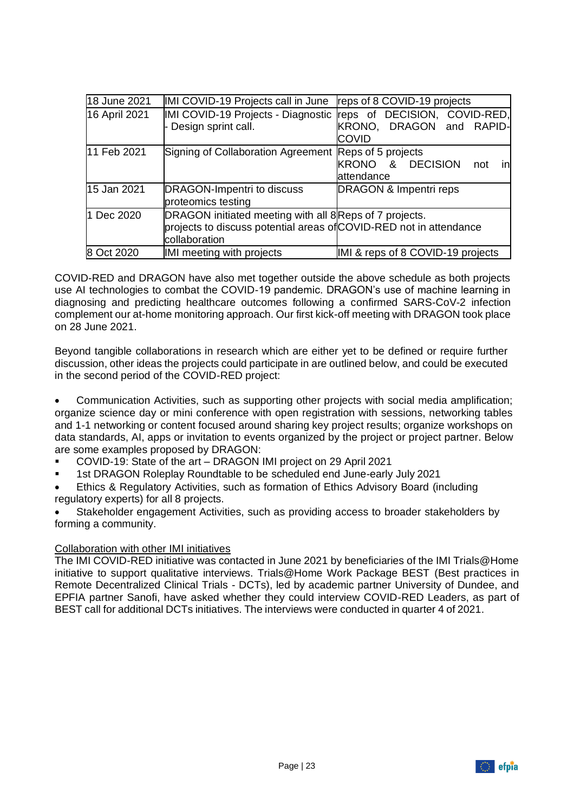| 18 June 2021  | IMI COVID-19 Projects call in June reps of 8 COVID-19 projects                                                                                 |                                                                                                             |
|---------------|------------------------------------------------------------------------------------------------------------------------------------------------|-------------------------------------------------------------------------------------------------------------|
| 16 April 2021 | - Design sprint call.                                                                                                                          | IMI COVID-19 Projects - Diagnostic reps of DECISION, COVID-RED,<br>KRONO, DRAGON and RAPID-<br><b>COVID</b> |
| 11 Feb 2021   | Signing of Collaboration Agreement Reps of 5 projects                                                                                          | KRONO & DECISION<br>in<br>not<br>attendance                                                                 |
| 15 Jan 2021   | DRAGON-Impentri to discuss<br>proteomics testing                                                                                               | DRAGON & Impentri reps                                                                                      |
| 1 Dec 2020    | DRAGON initiated meeting with all 8 Reps of 7 projects.<br>projects to discuss potential areas of COVID-RED not in attendance<br>collaboration |                                                                                                             |
| 8 Oct 2020    | IMI meeting with projects                                                                                                                      | IMI & reps of 8 COVID-19 projects                                                                           |

COVID-RED and DRAGON have also met together outside the above schedule as both projects use AI technologies to combat the COVID-19 pandemic. DRAGON's use of machine learning in diagnosing and predicting healthcare outcomes following a confirmed SARS-CoV-2 infection complement our at-home monitoring approach. Our first kick-off meeting with DRAGON took place on 28 June 2021.

Beyond tangible collaborations in research which are either yet to be defined or require further discussion, other ideas the projects could participate in are outlined below, and could be executed in the second period of the COVID-RED project:

• Communication Activities, such as supporting other projects with social media amplification; organize science day or mini conference with open registration with sessions, networking tables and 1-1 networking or content focused around sharing key project results; organize workshops on data standards, AI, apps or invitation to events organized by the project or project partner. Below are some examples proposed by DRAGON:

- [COVID-19: State of the art –](https://www.ersnet.org/events/covid-19-state-of-the-art-dragon-imi-project/) DRAGON IMI project on 29 April 2021
- 1st DRAGON Roleplay Roundtable to be scheduled end June-early July 2021
- Ethics & Regulatory Activities, such as formation of Ethics Advisory Board (including regulatory experts) for all 8 projects.

• Stakeholder engagement Activities, such as providing access to broader stakeholders by forming a community.

#### Collaboration with other IMI initiatives

The IMI COVID-RED initiative was contacted in June 2021 by beneficiaries of the IMI Trials@Home initiative to support qualitative interviews. Trials@Home Work Package BEST (Best practices in Remote Decentralized Clinical Trials - DCTs), led by academic partner University of Dundee, and EPFIA partner Sanofi, have asked whether they could interview COVID-RED Leaders, as part of BEST call for additional DCTs initiatives. The interviews were conducted in quarter 4 of 2021.

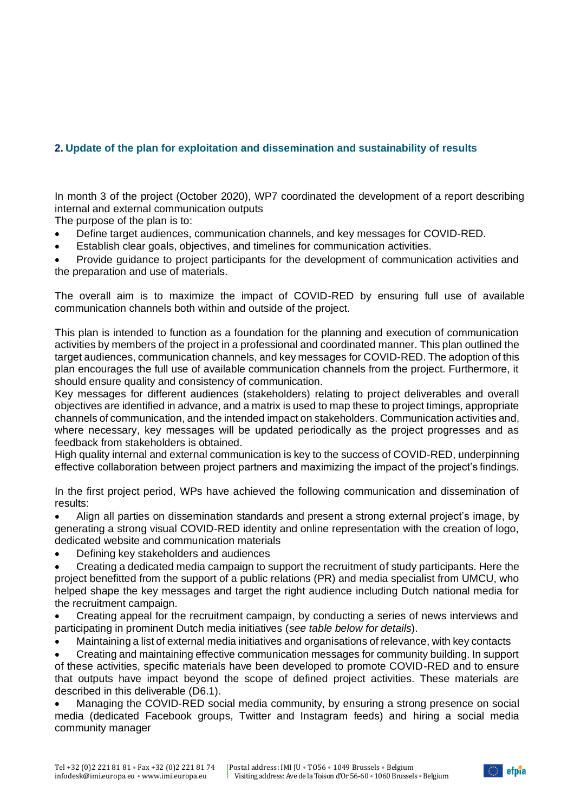# <span id="page-23-0"></span>**2. Update of the plan for exploitation and dissemination and sustainability of results**

In month 3 of the project (October 2020), WP7 coordinated the development of a report describing internal and external communication outputs

The purpose of the plan is to:

- Define target audiences, communication channels, and key messages for COVID-RED.
- Establish clear goals, objectives, and timelines for communication activities.

• Provide guidance to project participants for the development of communication activities and the preparation and use of materials.

The overall aim is to maximize the impact of COVID-RED by ensuring full use of available communication channels both within and outside of the project.

This plan is intended to function as a foundation for the planning and execution of communication activities by members of the project in a professional and coordinated manner. This plan outlined the target audiences, communication channels, and key messages for COVID-RED. The adoption of this plan encourages the full use of available communication channels from the project. Furthermore, it should ensure quality and consistency of communication.

Key messages for different audiences (stakeholders) relating to project deliverables and overall objectives are identified in advance, and a matrix is used to map these to project timings, appropriate channels of communication, and the intended impact on stakeholders. Communication activities and, where necessary, key messages will be updated periodically as the project progresses and as feedback from stakeholders is obtained.

High quality internal and external communication is key to the success of COVID-RED, underpinning effective collaboration between project partners and maximizing the impact of the project's findings.

In the first project period, WPs have achieved the following communication and dissemination of results:

• Align all parties on dissemination standards and present a strong external project's image, by generating a strong visual COVID-RED identity and online representation with the creation of logo, dedicated website and communication materials

• Defining key stakeholders and audiences

• Creating a dedicated media campaign to support the recruitment of study participants. Here the project benefitted from the support of a public relations (PR) and media specialist from UMCU, who helped shape the key messages and target the right audience including Dutch national media for the recruitment campaign.

- Creating appeal for the recruitment campaign, by conducting a series of news interviews and participating in prominent Dutch media initiatives (*see table below for details*).
- Maintaining a list of external media initiatives and organisations of relevance, with key contacts

• Creating and maintaining effective communication messages for community building. In support of these activities, specific materials have been developed to promote COVID-RED and to ensure that outputs have impact beyond the scope of defined project activities. These materials are described in this deliverable (D6.1).

• Managing the COVID-RED social media community, by ensuring a strong presence on social media (dedicated Facebook groups, Twitter and Instagram feeds) and hiring a social media community manager

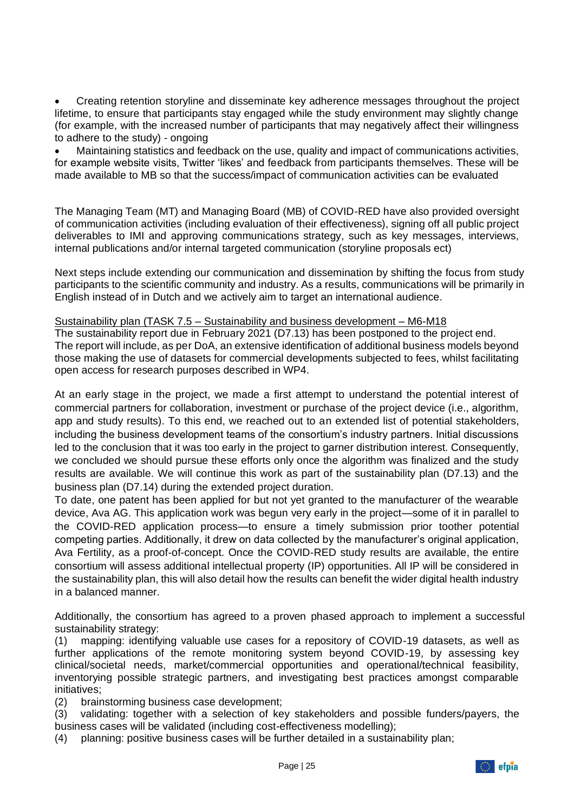• Creating retention storyline and disseminate key adherence messages throughout the project lifetime, to ensure that participants stay engaged while the study environment may slightly change (for example, with the increased number of participants that may negatively affect their willingness to adhere to the study) - ongoing

• Maintaining statistics and feedback on the use, quality and impact of communications activities, for example website visits, Twitter 'likes' and feedback from participants themselves. These will be made available to MB so that the success/impact of communication activities can be evaluated

The Managing Team (MT) and Managing Board (MB) of COVID-RED have also provided oversight of communication activities (including evaluation of their effectiveness), signing off all public project deliverables to IMI and approving communications strategy, such as key messages, interviews, internal publications and/or internal targeted communication (storyline proposals ect)

Next steps include extending our communication and dissemination by shifting the focus from study participants to the scientific community and industry. As a results, communications will be primarily in English instead of in Dutch and we actively aim to target an international audience.

#### Sustainability plan (TASK 7.5 – Sustainability and business development – M6-M18

The sustainability report due in February 2021 (D7.13) has been postponed to the project end. The report will include, as per DoA, an extensive identification of additional business models beyond those making the use of datasets for commercial developments subjected to fees, whilst facilitating open access for research purposes described in WP4.

At an early stage in the project, we made a first attempt to understand the potential interest of commercial partners for collaboration, investment or purchase of the project device (i.e., algorithm, app and study results). To this end, we reached out to an extended list of potential stakeholders, including the business development teams of the consortium's industry partners. Initial discussions led to the conclusion that it was too early in the project to garner distribution interest. Consequently, we concluded we should pursue these efforts only once the algorithm was finalized and the study results are available. We will continue this work as part of the sustainability plan (D7.13) and the business plan (D7.14) during the extended project duration.

To date, one patent has been applied for but not yet granted to the manufacturer of the wearable device, Ava AG. This application work was begun very early in the project—some of it in parallel to the COVID-RED application process—to ensure a timely submission prior toother potential competing parties. Additionally, it drew on data collected by the manufacturer's original application, Ava Fertility, as a proof-of-concept. Once the COVID-RED study results are available, the entire consortium will assess additional intellectual property (IP) opportunities. All IP will be considered in the sustainability plan, this will also detail how the results can benefit the wider digital health industry in a balanced manner.

Additionally, the consortium has agreed to a proven phased approach to implement a successful sustainability strategy:

(1) mapping: identifying valuable use cases for a repository of COVID-19 datasets, as well as further applications of the remote monitoring system beyond COVID-19, by assessing key clinical/societal needs, market/commercial opportunities and operational/technical feasibility, inventorying possible strategic partners, and investigating best practices amongst comparable initiatives;

(2) brainstorming business case development;

(3) validating: together with a selection of key stakeholders and possible funders/payers, the business cases will be validated (including cost-effectiveness modelling);

(4) planning: positive business cases will be further detailed in a sustainability plan;

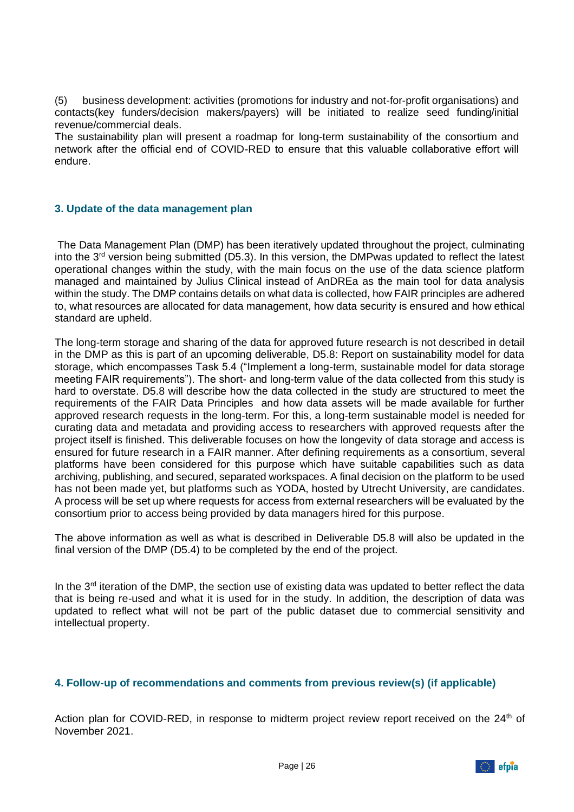(5) business development: activities (promotions for industry and not-for-profit organisations) and contacts(key funders/decision makers/payers) will be initiated to realize seed funding/initial revenue/commercial deals.

The sustainability plan will present a roadmap for long-term sustainability of the consortium and network after the official end of COVID-RED to ensure that this valuable collaborative effort will endure.

#### <span id="page-25-0"></span>**3. Update of the data management plan**

The Data Management Plan (DMP) has been iteratively updated throughout the project, culminating into the  $3<sup>rd</sup>$  version being submitted (D5.3). In this version, the DMPwas updated to reflect the latest operational changes within the study, with the main focus on the use of the data science platform managed and maintained by Julius Clinical instead of AnDREa as the main tool for data analysis within the study. The DMP contains details on what data is collected, how FAIR principles are adhered to, what resources are allocated for data management, how data security is ensured and how ethical standard are upheld.

The long-term storage and sharing of the data for approved future research is not described in detail in the DMP as this is part of an upcoming deliverable, D5.8: Report on sustainability model for data storage, which encompasses Task 5.4 ("Implement a long-term, sustainable model for data storage meeting FAIR requirements"). The short- and long-term value of the data collected from this study is hard to overstate. D5.8 will describe how the data collected in the study are structured to meet the requirements of the FAIR Data Principles and how data assets will be made available for further approved research requests in the long-term. For this, a long-term sustainable model is needed for curating data and metadata and providing access to researchers with approved requests after the project itself is finished. This deliverable focuses on how the longevity of data storage and access is ensured for future research in a FAIR manner. After defining requirements as a consortium, several platforms have been considered for this purpose which have suitable capabilities such as data archiving, publishing, and secured, separated workspaces. A final decision on the platform to be used has not been made yet, but platforms such as YODA, hosted by Utrecht University, are candidates. A process will be set up where requests for access from external researchers will be evaluated by the consortium prior to access being provided by data managers hired for this purpose.

The above information as well as what is described in Deliverable D5.8 will also be updated in the final version of the DMP (D5.4) to be completed by the end of the project.

In the  $3<sup>rd</sup>$  iteration of the DMP, the section use of existing data was updated to better reflect the data that is being re-used and what it is used for in the study. In addition, the description of data was updated to reflect what will not be part of the public dataset due to commercial sensitivity and intellectual property.

#### <span id="page-25-1"></span>**4. Follow-up of recommendations and comments from previous review(s) (if applicable)**

Action plan for COVID-RED, in response to midterm project review report received on the 24<sup>th</sup> of November 2021.

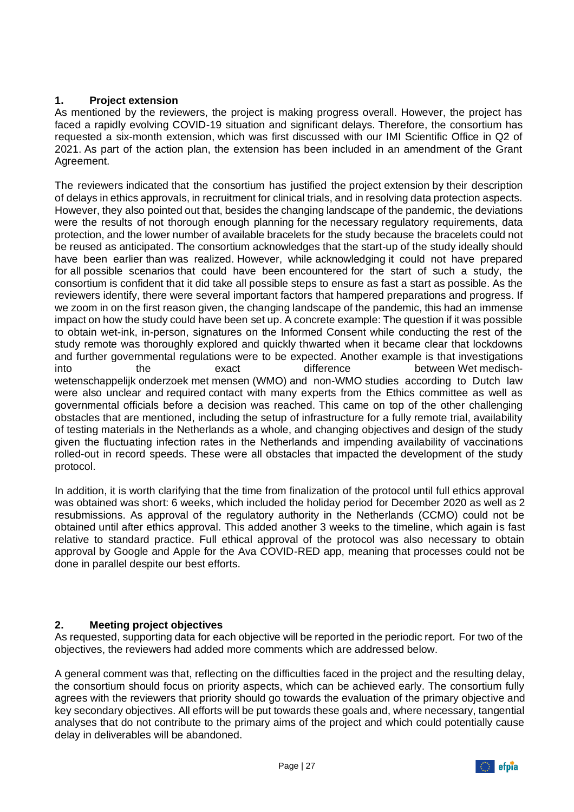# **1. Project extension**

As mentioned by the reviewers, the project is making progress overall. However, the project has faced a rapidly evolving COVID-19 situation and significant delays. Therefore, the consortium has requested a six-month extension, which was first discussed with our IMI Scientific Office in Q2 of 2021. As part of the action plan, the extension has been included in an amendment of the Grant Agreement.

The reviewers indicated that the consortium has justified the project extension by their description of delays in ethics approvals, in recruitment for clinical trials, and in resolving data protection aspects. However, they also pointed out that, besides the changing landscape of the pandemic, the deviations were the results of not thorough enough planning for the necessary regulatory requirements, data protection, and the lower number of available bracelets for the study because the bracelets could not be reused as anticipated. The consortium acknowledges that the start-up of the study ideally should have been earlier than was realized. However, while acknowledging it could not have prepared for all possible scenarios that could have been encountered for the start of such a study, the consortium is confident that it did take all possible steps to ensure as fast a start as possible. As the reviewers identify, there were several important factors that hampered preparations and progress. If we zoom in on the first reason given, the changing landscape of the pandemic, this had an immense impact on how the study could have been set up. A concrete example: The question if it was possible to obtain wet-ink, in-person, signatures on the Informed Consent while conducting the rest of the study remote was thoroughly explored and quickly thwarted when it became clear that lockdowns and further governmental regulations were to be expected. Another example is that investigations into the exact difference between Wet medischwetenschappelijk onderzoek met mensen (WMO) and non-WMO studies according to Dutch law were also unclear and required contact with many experts from the Ethics committee as well as governmental officials before a decision was reached. This came on top of the other challenging obstacles that are mentioned, including the setup of infrastructure for a fully remote trial, availability of testing materials in the Netherlands as a whole, and changing objectives and design of the study given the fluctuating infection rates in the Netherlands and impending availability of vaccinations rolled-out in record speeds. These were all obstacles that impacted the development of the study protocol.

In addition, it is worth clarifying that the time from finalization of the protocol until full ethics approval was obtained was short: 6 weeks, which included the holiday period for December 2020 as well as 2 resubmissions. As approval of the regulatory authority in the Netherlands (CCMO) could not be obtained until after ethics approval. This added another 3 weeks to the timeline, which again is fast relative to standard practice. Full ethical approval of the protocol was also necessary to obtain approval by Google and Apple for the Ava COVID-RED app, meaning that processes could not be done in parallel despite our best efforts.

# **2. Meeting project objectives**

As requested, supporting data for each objective will be reported in the periodic report. For two of the objectives, the reviewers had added more comments which are addressed below.

A general comment was that, reflecting on the difficulties faced in the project and the resulting delay, the consortium should focus on priority aspects, which can be achieved early. The consortium fully agrees with the reviewers that priority should go towards the evaluation of the primary objective and key secondary objectives. All efforts will be put towards these goals and, where necessary, tangential analyses that do not contribute to the primary aims of the project and which could potentially cause delay in deliverables will be abandoned.

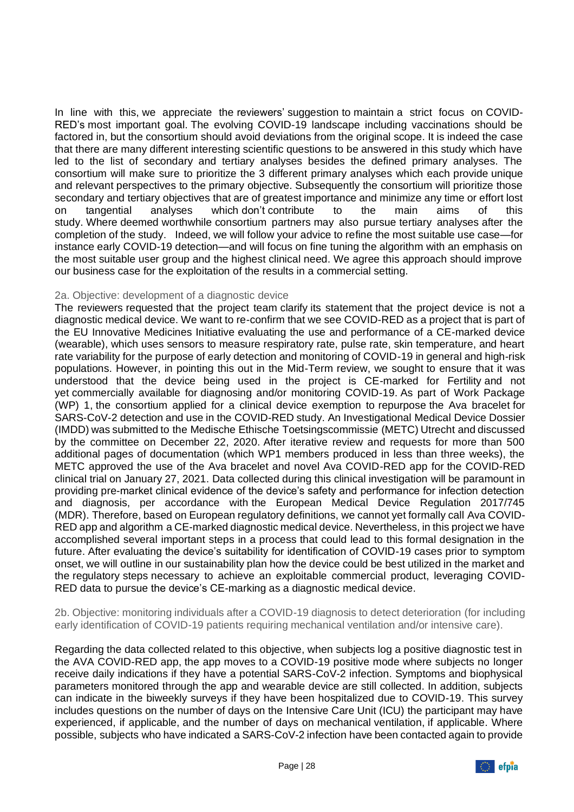In line with this, we appreciate the reviewers' suggestion to maintain a strict focus on COVID-RED's most important goal. The evolving COVID-19 landscape including vaccinations should be factored in, but the consortium should avoid deviations from the original scope. It is indeed the case that there are many different interesting scientific questions to be answered in this study which have led to the list of secondary and tertiary analyses besides the defined primary analyses. The consortium will make sure to prioritize the 3 different primary analyses which each provide unique and relevant perspectives to the primary objective. Subsequently the consortium will prioritize those secondary and tertiary objectives that are of greatest importance and minimize any time or effort lost on tangential analyses which don't contribute to the main aims of this study. Where deemed worthwhile consortium partners may also pursue tertiary analyses after the completion of the study. Indeed, we will follow your advice to refine the most suitable use case—for instance early COVID-19 detection—and will focus on fine tuning the algorithm with an emphasis on the most suitable user group and the highest clinical need. We agree this approach should improve our business case for the exploitation of the results in a commercial setting.

#### 2a. Objective: development of a diagnostic device

The reviewers requested that the project team clarify its statement that the project device is not a diagnostic medical device. We want to re-confirm that we see COVID-RED as a project that is part of the EU Innovative Medicines Initiative evaluating the use and performance of a CE-marked device (wearable), which uses sensors to measure respiratory rate, pulse rate, skin temperature, and heart rate variability for the purpose of early detection and monitoring of COVID-19 in general and high-risk populations. However, in pointing this out in the Mid-Term review, we sought to ensure that it was understood that the device being used in the project is CE-marked for Fertility and not yet commercially available for diagnosing and/or monitoring COVID-19. As part of Work Package (WP) 1, the consortium applied for a clinical device exemption to repurpose the Ava bracelet for SARS-CoV-2 detection and use in the COVID-RED study. An Investigational Medical Device Dossier (IMDD) was submitted to the Medische Ethische Toetsingscommissie (METC) Utrecht and discussed by the committee on December 22, 2020. After iterative review and requests for more than 500 additional pages of documentation (which WP1 members produced in less than three weeks), the METC approved the use of the Ava bracelet and novel Ava COVID-RED app for the COVID-RED clinical trial on January 27, 2021. Data collected during this clinical investigation will be paramount in providing pre-market clinical evidence of the device's safety and performance for infection detection and diagnosis, per accordance with the European Medical Device Regulation 2017/745 (MDR). Therefore, based on European regulatory definitions, we cannot yet formally call Ava COVID-RED app and algorithm a CE-marked diagnostic medical device. Nevertheless, in this project we have accomplished several important steps in a process that could lead to this formal designation in the future. After evaluating the device's suitability for identification of COVID-19 cases prior to symptom onset, we will outline in our sustainability plan how the device could be best utilized in the market and the regulatory steps necessary to achieve an exploitable commercial product, leveraging COVID-RED data to pursue the device's CE-marking as a diagnostic medical device.

2b. Objective: monitoring individuals after a COVID-19 diagnosis to detect deterioration (for including early identification of COVID-19 patients requiring mechanical ventilation and/or intensive care).

Regarding the data collected related to this objective, when subjects log a positive diagnostic test in the AVA COVID-RED app, the app moves to a COVID-19 positive mode where subjects no longer receive daily indications if they have a potential SARS-CoV-2 infection. Symptoms and biophysical parameters monitored through the app and wearable device are still collected. In addition, subjects can indicate in the biweekly surveys if they have been hospitalized due to COVID-19. This survey includes questions on the number of days on the Intensive Care Unit (ICU) the participant may have experienced, if applicable, and the number of days on mechanical ventilation, if applicable. Where possible, subjects who have indicated a SARS-CoV-2 infection have been contacted again to provide

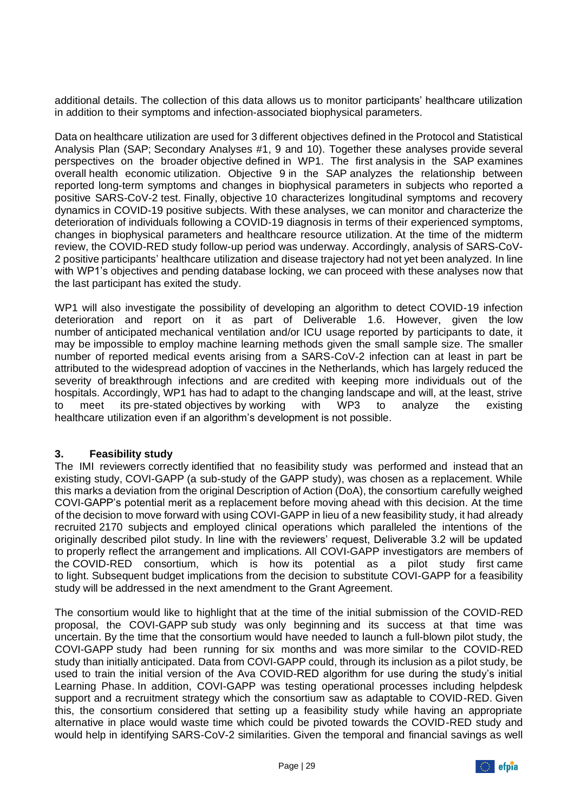additional details. The collection of this data allows us to monitor participants' healthcare utilization in addition to their symptoms and infection-associated biophysical parameters.

Data on healthcare utilization are used for 3 different objectives defined in the Protocol and Statistical Analysis Plan (SAP; Secondary Analyses #1, 9 and 10). Together these analyses provide several perspectives on the broader objective defined in WP1. The first analysis in the SAP examines overall health economic utilization. Objective 9 in the SAP analyzes the relationship between reported long-term symptoms and changes in biophysical parameters in subjects who reported a positive SARS-CoV-2 test. Finally, objective 10 characterizes longitudinal symptoms and recovery dynamics in COVID-19 positive subjects. With these analyses, we can monitor and characterize the deterioration of individuals following a COVID-19 diagnosis in terms of their experienced symptoms, changes in biophysical parameters and healthcare resource utilization. At the time of the midterm review, the COVID-RED study follow-up period was underway. Accordingly, analysis of SARS-CoV-2 positive participants' healthcare utilization and disease trajectory had not yet been analyzed. In line with WP1's objectives and pending database locking, we can proceed with these analyses now that the last participant has exited the study.

WP1 will also investigate the possibility of developing an algorithm to detect COVID-19 infection deterioration and report on it as part of Deliverable 1.6. However, given the low number of anticipated mechanical ventilation and/or ICU usage reported by participants to date, it may be impossible to employ machine learning methods given the small sample size. The smaller number of reported medical events arising from a SARS-CoV-2 infection can at least in part be attributed to the widespread adoption of vaccines in the Netherlands, which has largely reduced the severity of breakthrough infections and are credited with keeping more individuals out of the hospitals. Accordingly, WP1 has had to adapt to the changing landscape and will, at the least, strive to meet its pre-stated objectives by working with WP3 to analyze the existing healthcare utilization even if an algorithm's development is not possible.

# **3. Feasibility study**

The IMI reviewers correctly identified that no feasibility study was performed and instead that an existing study, COVI-GAPP (a sub-study of the GAPP study), was chosen as a replacement. While this marks a deviation from the original Description of Action (DoA), the consortium carefully weighed COVI-GAPP's potential merit as a replacement before moving ahead with this decision. At the time of the decision to move forward with using COVI-GAPP in lieu of a new feasibility study, it had already recruited 2170 subjects and employed clinical operations which paralleled the intentions of the originally described pilot study. In line with the reviewers' request, Deliverable 3.2 will be updated to properly reflect the arrangement and implications. All COVI-GAPP investigators are members of the COVID-RED consortium, which is how its potential as a pilot study first came to light. Subsequent budget implications from the decision to substitute COVI-GAPP for a feasibility study will be addressed in the next amendment to the Grant Agreement.

The consortium would like to highlight that at the time of the initial submission of the COVID-RED proposal, the COVI-GAPP sub study was only beginning and its success at that time was uncertain. By the time that the consortium would have needed to launch a full-blown pilot study, the COVI-GAPP study had been running for six months and was more similar to the COVID-RED study than initially anticipated. Data from COVI-GAPP could, through its inclusion as a pilot study, be used to train the initial version of the Ava COVID-RED algorithm for use during the study's initial Learning Phase. In addition, COVI-GAPP was testing operational processes including helpdesk support and a recruitment strategy which the consortium saw as adaptable to COVID-RED. Given this, the consortium considered that setting up a feasibility study while having an appropriate alternative in place would waste time which could be pivoted towards the COVID-RED study and would help in identifying SARS-CoV-2 similarities. Given the temporal and financial savings as well

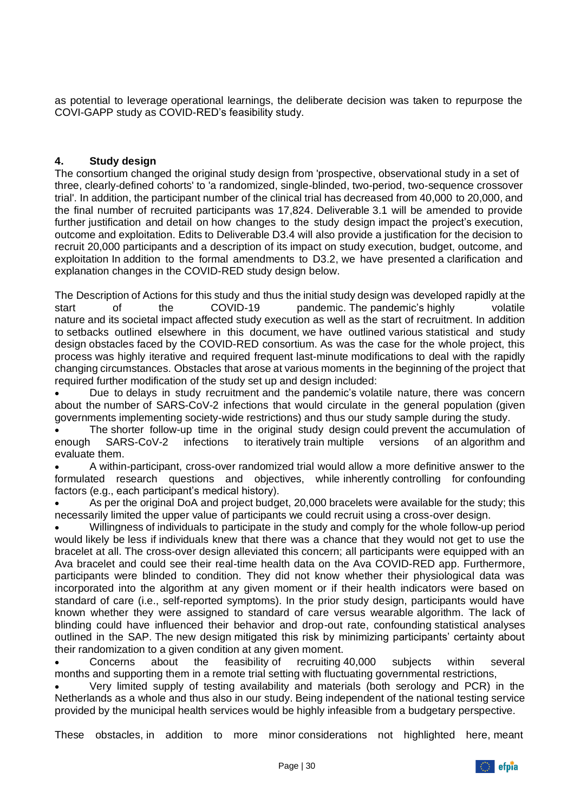as potential to leverage operational learnings, the deliberate decision was taken to repurpose the COVI-GAPP study as COVID-RED's feasibility study.

#### **4. Study design**

The consortium changed the original study design from 'prospective, observational study in a set of three, clearly-defined cohorts' to 'a randomized, single-blinded, two-period, two-sequence crossover trial'. In addition, the participant number of the clinical trial has decreased from 40,000 to 20,000, and the final number of recruited participants was 17,824. Deliverable 3.1 will be amended to provide further justification and detail on how changes to the study design impact the project's execution, outcome and exploitation. Edits to Deliverable D3.4 will also provide a justification for the decision to recruit 20,000 participants and a description of its impact on study execution, budget, outcome, and exploitation In addition to the formal amendments to D3.2, we have presented a clarification and explanation changes in the COVID-RED study design below.

The Description of Actions for this study and thus the initial study design was developed rapidly at the start of the COVID-19 pandemic. The pandemic's highly volatile nature and its societal impact affected study execution as well as the start of recruitment. In addition to setbacks outlined elsewhere in this document, we have outlined various statistical and study design obstacles faced by the COVID-RED consortium. As was the case for the whole project, this process was highly iterative and required frequent last-minute modifications to deal with the rapidly changing circumstances. Obstacles that arose at various moments in the beginning of the project that required further modification of the study set up and design included:

• Due to delays in study recruitment and the pandemic's volatile nature, there was concern about the number of SARS-CoV-2 infections that would circulate in the general population (given governments implementing society-wide restrictions) and thus our study sample during the study.

• The shorter follow-up time in the original study design could prevent the accumulation of enough SARS-CoV-2 infections to iteratively train multiple versions of an algorithm and evaluate them.

• A within-participant, cross-over randomized trial would allow a more definitive answer to the formulated research questions and objectives, while inherently controlling for confounding factors (e.g., each participant's medical history).

• As per the original DoA and project budget, 20,000 bracelets were available for the study; this necessarily limited the upper value of participants we could recruit using a cross-over design.

• Willingness of individuals to participate in the study and comply for the whole follow-up period would likely be less if individuals knew that there was a chance that they would not get to use the bracelet at all. The cross-over design alleviated this concern; all participants were equipped with an Ava bracelet and could see their real-time health data on the Ava COVID-RED app. Furthermore, participants were blinded to condition. They did not know whether their physiological data was incorporated into the algorithm at any given moment or if their health indicators were based on standard of care (i.e., self-reported symptoms). In the prior study design, participants would have known whether they were assigned to standard of care versus wearable algorithm. The lack of blinding could have influenced their behavior and drop-out rate, confounding statistical analyses outlined in the SAP. The new design mitigated this risk by minimizing participants' certainty about their randomization to a given condition at any given moment.

• Concerns about the feasibility of recruiting 40,000 subjects within several months and supporting them in a remote trial setting with fluctuating governmental restrictions,

• Very limited supply of testing availability and materials (both serology and PCR) in the Netherlands as a whole and thus also in our study. Being independent of the national testing service provided by the municipal health services would be highly infeasible from a budgetary perspective.

These obstacles, in addition to more minor considerations not highlighted here, meant

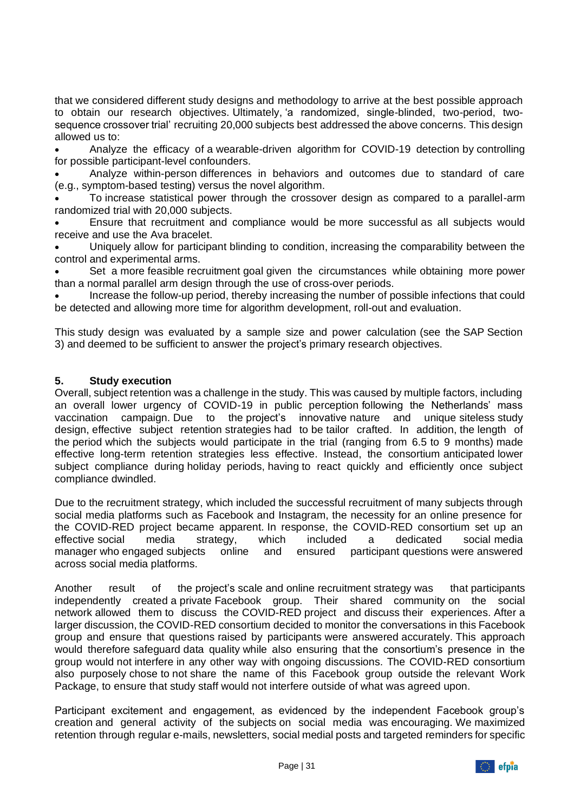that we considered different study designs and methodology to arrive at the best possible approach to obtain our research objectives. Ultimately, 'a randomized, single-blinded, two-period, twosequence crossover trial' recruiting 20,000 subjects best addressed the above concerns. This design allowed us to:

• Analyze the efficacy of a wearable-driven algorithm for COVID-19 detection by controlling for possible participant-level confounders.

• Analyze within-person differences in behaviors and outcomes due to standard of care (e.g., symptom-based testing) versus the novel algorithm.

• To increase statistical power through the crossover design as compared to a parallel-arm randomized trial with 20,000 subjects.

• Ensure that recruitment and compliance would be more successful as all subjects would receive and use the Ava bracelet.

• Uniquely allow for participant blinding to condition, increasing the comparability between the control and experimental arms.

Set a more feasible recruitment goal given the circumstances while obtaining more power than a normal parallel arm design through the use of cross-over periods.

• Increase the follow-up period, thereby increasing the number of possible infections that could be detected and allowing more time for algorithm development, roll-out and evaluation.

This study design was evaluated by a sample size and power calculation (see the SAP Section 3) and deemed to be sufficient to answer the project's primary research objectives.

#### **5. Study execution**

Overall, subject retention was a challenge in the study. This was caused by multiple factors, including an overall lower urgency of COVID-19 in public perception following the Netherlands' mass vaccination campaign. Due to the project's innovative nature and unique siteless study design, effective subject retention strategies had to be tailor crafted. In addition, the length of the period which the subjects would participate in the trial (ranging from 6.5 to 9 months) made effective long-term retention strategies less effective. Instead, the consortium anticipated lower subject compliance during holiday periods, having to react quickly and efficiently once subject compliance dwindled.

Due to the recruitment strategy, which included the successful recruitment of many subjects through social media platforms such as Facebook and Instagram, the necessity for an online presence for the COVID-RED project became apparent. In response, the COVID-RED consortium set up an effective social media strategy, which included a dedicated social media manager who engaged subjects online and ensured participant questions were answered across social media platforms.

Another result of the project's scale and online recruitment strategy was that participants independently created a private Facebook group. Their shared community on the social network allowed them to discuss the COVID-RED project and discuss their experiences. After a larger discussion, the COVID-RED consortium decided to monitor the conversations in this Facebook group and ensure that questions raised by participants were answered accurately. This approach would therefore safeguard data quality while also ensuring that the consortium's presence in the group would not interfere in any other way with ongoing discussions. The COVID-RED consortium also purposely chose to not share the name of this Facebook group outside the relevant Work Package, to ensure that study staff would not interfere outside of what was agreed upon.

Participant excitement and engagement, as evidenced by the independent Facebook group's creation and general activity of the subjects on social media was encouraging. We maximized retention through regular e-mails, newsletters, social medial posts and targeted reminders for specific

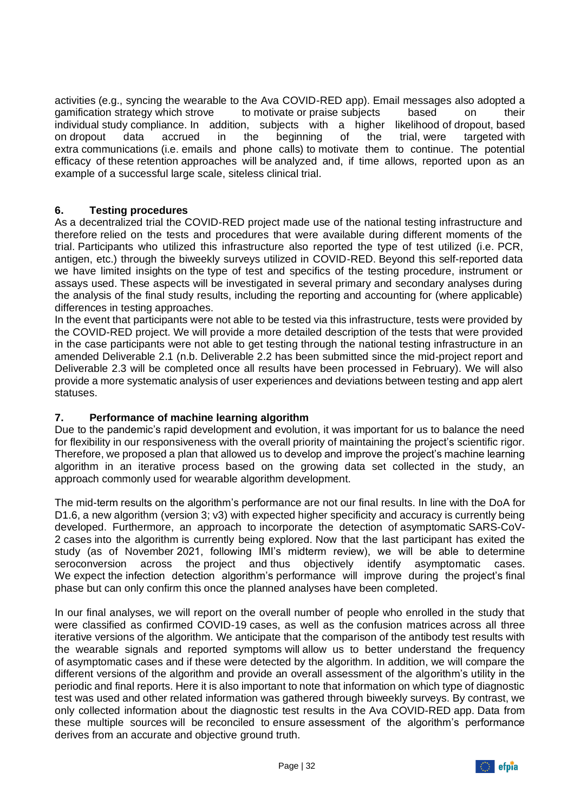activities (e.g., syncing the wearable to the Ava COVID-RED app). Email messages also adopted a gamification strategy which strove to motivate or praise subjects based on their individual study compliance. In addition, subjects with a higher likelihood of dropout, based on dropout data accrued in the beginning of the trial, were targeted with extra communications (i.e. emails and phone calls) to motivate them to continue. The potential efficacy of these retention approaches will be analyzed and, if time allows, reported upon as an example of a successful large scale, siteless clinical trial.

#### **6. Testing procedures**

As a decentralized trial the COVID-RED project made use of the national testing infrastructure and therefore relied on the tests and procedures that were available during different moments of the trial. Participants who utilized this infrastructure also reported the type of test utilized (i.e. PCR, antigen, etc.) through the biweekly surveys utilized in COVID-RED. Beyond this self-reported data we have limited insights on the type of test and specifics of the testing procedure, instrument or assays used. These aspects will be investigated in several primary and secondary analyses during the analysis of the final study results, including the reporting and accounting for (where applicable) differences in testing approaches.

In the event that participants were not able to be tested via this infrastructure, tests were provided by the COVID-RED project. We will provide a more detailed description of the tests that were provided in the case participants were not able to get testing through the national testing infrastructure in an amended Deliverable 2.1 (n.b. Deliverable 2.2 has been submitted since the mid-project report and Deliverable 2.3 will be completed once all results have been processed in February). We will also provide a more systematic analysis of user experiences and deviations between testing and app alert statuses.

# **7. Performance of machine learning algorithm**

Due to the pandemic's rapid development and evolution, it was important for us to balance the need for flexibility in our responsiveness with the overall priority of maintaining the project's scientific rigor. Therefore, we proposed a plan that allowed us to develop and improve the project's machine learning algorithm in an iterative process based on the growing data set collected in the study, an approach commonly used for wearable algorithm development.

The mid-term results on the algorithm's performance are not our final results. In line with the DoA for D1.6, a new algorithm (version 3; v3) with expected higher specificity and accuracy is currently being developed. Furthermore, an approach to incorporate the detection of asymptomatic SARS-CoV-2 cases into the algorithm is currently being explored. Now that the last participant has exited the study (as of November 2021, following IMI's midterm review), we will be able to determine seroconversion across the project and thus objectively identify asymptomatic cases. We expect the infection detection algorithm's performance will improve during the project's final phase but can only confirm this once the planned analyses have been completed.

In our final analyses, we will report on the overall number of people who enrolled in the study that were classified as confirmed COVID-19 cases, as well as the confusion matrices across all three iterative versions of the algorithm. We anticipate that the comparison of the antibody test results with the wearable signals and reported symptoms will allow us to better understand the frequency of asymptomatic cases and if these were detected by the algorithm. In addition, we will compare the different versions of the algorithm and provide an overall assessment of the algorithm's utility in the periodic and final reports. Here it is also important to note that information on which type of diagnostic test was used and other related information was gathered through biweekly surveys. By contrast, we only collected information about the diagnostic test results in the Ava COVID-RED app. Data from these multiple sources will be reconciled to ensure assessment of the algorithm's performance derives from an accurate and objective ground truth.

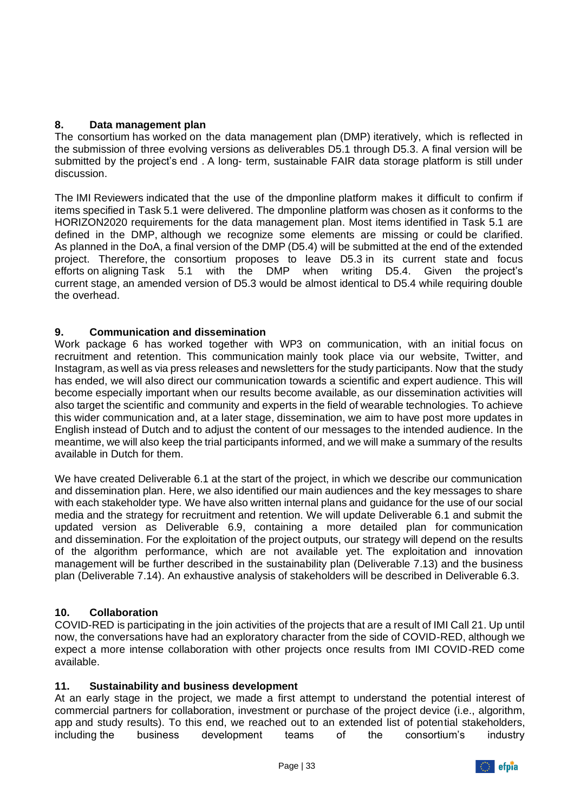### **8. Data management plan**

The consortium has worked on the data management plan (DMP) iteratively, which is reflected in the submission of three evolving versions as deliverables D5.1 through D5.3. A final version will be submitted by the project's end . A long- term, sustainable FAIR data storage platform is still under discussion.

The IMI Reviewers indicated that the use of the dmponline platform makes it difficult to confirm if items specified in Task 5.1 were delivered. The dmponline platform was chosen as it conforms to the HORIZON2020 requirements for the data management plan. Most items identified in Task 5.1 are defined in the DMP, although we recognize some elements are missing or could be clarified. As planned in the DoA, a final version of the DMP (D5.4) will be submitted at the end of the extended project. Therefore, the consortium proposes to leave D5.3 in its current state and focus efforts on aligning Task 5.1 with the DMP when writing D5.4. Given the project's current stage, an amended version of D5.3 would be almost identical to D5.4 while requiring double the overhead.

#### **9. Communication and dissemination**

Work package 6 has worked together with WP3 on communication, with an initial focus on recruitment and retention. This communication mainly took place via our website, Twitter, and Instagram, as well as via press releases and newsletters for the study participants. Now that the study has ended, we will also direct our communication towards a scientific and expert audience. This will become especially important when our results become available, as our dissemination activities will also target the scientific and community and experts in the field of wearable technologies. To achieve this wider communication and, at a later stage, dissemination, we aim to have post more updates in English instead of Dutch and to adjust the content of our messages to the intended audience. In the meantime, we will also keep the trial participants informed, and we will make a summary of the results available in Dutch for them.

We have created Deliverable 6.1 at the start of the project, in which we describe our communication and dissemination plan. Here, we also identified our main audiences and the key messages to share with each stakeholder type. We have also written internal plans and guidance for the use of our social media and the strategy for recruitment and retention. We will update Deliverable 6.1 and submit the updated version as Deliverable 6.9, containing a more detailed plan for communication and dissemination. For the exploitation of the project outputs, our strategy will depend on the results of the algorithm performance, which are not available yet. The exploitation and innovation management will be further described in the sustainability plan (Deliverable 7.13) and the business plan (Deliverable 7.14). An exhaustive analysis of stakeholders will be described in Deliverable 6.3.

#### **10. Collaboration**

COVID-RED is participating in the join activities of the projects that are a result of IMI Call 21. Up until now, the conversations have had an exploratory character from the side of COVID-RED, although we expect a more intense collaboration with other projects once results from IMI COVID-RED come available.

#### **11. Sustainability and business development**

At an early stage in the project, we made a first attempt to understand the potential interest of commercial partners for collaboration, investment or purchase of the project device (i.e., algorithm, app and study results). To this end, we reached out to an extended list of potential stakeholders, including the business development teams of the consortium's industry including the business development teams of the consortium's industry

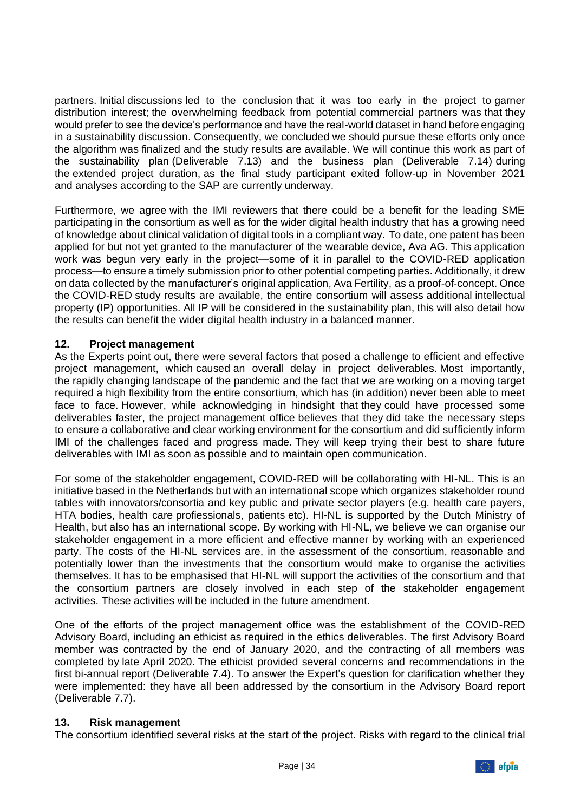partners. Initial discussions led to the conclusion that it was too early in the project to garner distribution interest; the overwhelming feedback from potential commercial partners was that they would prefer to see the device's performance and have the real-world dataset in hand before engaging in a sustainability discussion. Consequently, we concluded we should pursue these efforts only once the algorithm was finalized and the study results are available. We will continue this work as part of the sustainability plan (Deliverable 7.13) and the business plan (Deliverable 7.14) during the extended project duration, as the final study participant exited follow-up in November 2021 and analyses according to the SAP are currently underway.

Furthermore, we agree with the IMI reviewers that there could be a benefit for the leading SME participating in the consortium as well as for the wider digital health industry that has a growing need of knowledge about clinical validation of digital tools in a compliant way. To date, one patent has been applied for but not yet granted to the manufacturer of the wearable device, Ava AG. This application work was begun very early in the project—some of it in parallel to the COVID-RED application process—to ensure a timely submission prior to other potential competing parties. Additionally, it drew on data collected by the manufacturer's original application, Ava Fertility, as a proof-of-concept. Once the COVID-RED study results are available, the entire consortium will assess additional intellectual property (IP) opportunities. All IP will be considered in the sustainability plan, this will also detail how the results can benefit the wider digital health industry in a balanced manner.

#### **12. Project management**

As the Experts point out, there were several factors that posed a challenge to efficient and effective project management, which caused an overall delay in project deliverables. Most importantly, the rapidly changing landscape of the pandemic and the fact that we are working on a moving target required a high flexibility from the entire consortium, which has (in addition) never been able to meet face to face. However, while acknowledging in hindsight that they could have processed some deliverables faster, the project management office believes that they did take the necessary steps to ensure a collaborative and clear working environment for the consortium and did sufficiently inform IMI of the challenges faced and progress made. They will keep trying their best to share future deliverables with IMI as soon as possible and to maintain open communication.

For some of the stakeholder engagement, COVID-RED will be collaborating with HI-NL. This is an initiative based in the Netherlands but with an international scope which organizes stakeholder round tables with innovators/consortia and key public and private sector players (e.g. health care payers, HTA bodies, health care profiessionals, patients etc). HI-NL is supported by the Dutch Ministry of Health, but also has an international scope. By working with HI-NL, we believe we can organise our stakeholder engagement in a more efficient and effective manner by working with an experienced party. The costs of the HI-NL services are, in the assessment of the consortium, reasonable and potentially lower than the investments that the consortium would make to organise the activities themselves. It has to be emphasised that HI-NL will support the activities of the consortium and that the consortium partners are closely involved in each step of the stakeholder engagement activities. These activities will be included in the future amendment.

One of the efforts of the project management office was the establishment of the COVID-RED Advisory Board, including an ethicist as required in the ethics deliverables. The first Advisory Board member was contracted by the end of January 2020, and the contracting of all members was completed by late April 2020. The ethicist provided several concerns and recommendations in the first bi-annual report (Deliverable 7.4). To answer the Expert's question for clarification whether they were implemented: they have all been addressed by the consortium in the Advisory Board report (Deliverable 7.7).

#### **13. Risk management**

The consortium identified several risks at the start of the project. Risks with regard to the clinical trial